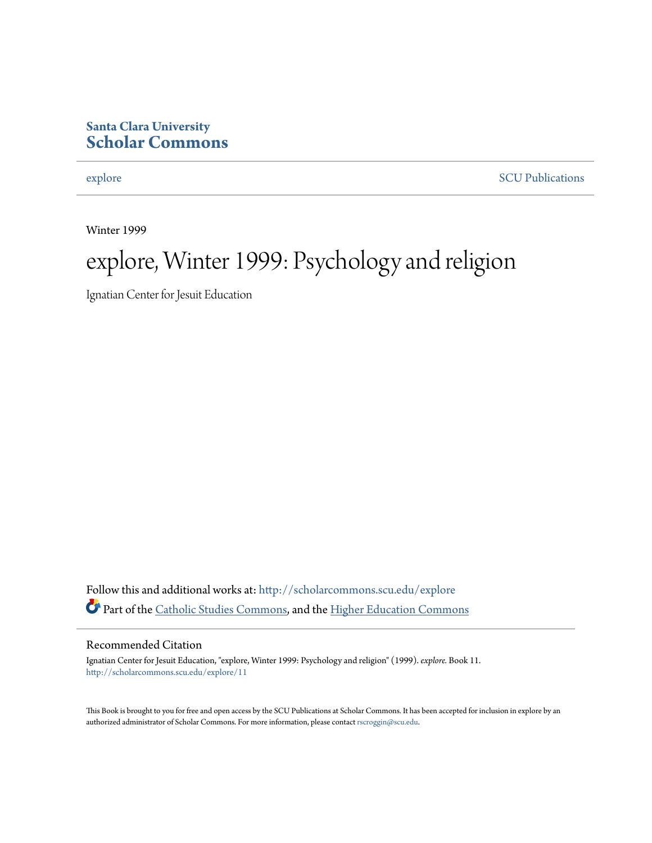#### **Santa Clara University [Scholar Commons](http://scholarcommons.scu.edu?utm_source=scholarcommons.scu.edu%2Fexplore%2F11&utm_medium=PDF&utm_campaign=PDFCoverPages)**

[explore](http://scholarcommons.scu.edu/explore?utm_source=scholarcommons.scu.edu%2Fexplore%2F11&utm_medium=PDF&utm_campaign=PDFCoverPages) [SCU Publications](http://scholarcommons.scu.edu/scu_pubs?utm_source=scholarcommons.scu.edu%2Fexplore%2F11&utm_medium=PDF&utm_campaign=PDFCoverPages)

Winter 1999

## explore, Winter 1999: Psychology and religion

Ignatian Center for Jesuit Education

Follow this and additional works at: [http://scholarcommons.scu.edu/explore](http://scholarcommons.scu.edu/explore?utm_source=scholarcommons.scu.edu%2Fexplore%2F11&utm_medium=PDF&utm_campaign=PDFCoverPages) Part of the [Catholic Studies Commons,](http://network.bepress.com/hgg/discipline/1294?utm_source=scholarcommons.scu.edu%2Fexplore%2F11&utm_medium=PDF&utm_campaign=PDFCoverPages) and the [Higher Education Commons](http://network.bepress.com/hgg/discipline/1245?utm_source=scholarcommons.scu.edu%2Fexplore%2F11&utm_medium=PDF&utm_campaign=PDFCoverPages)

#### Recommended Citation

Ignatian Center for Jesuit Education, "explore, Winter 1999: Psychology and religion" (1999). *explore.* Book 11. [http://scholarcommons.scu.edu/explore/11](http://scholarcommons.scu.edu/explore/11?utm_source=scholarcommons.scu.edu%2Fexplore%2F11&utm_medium=PDF&utm_campaign=PDFCoverPages)

This Book is brought to you for free and open access by the SCU Publications at Scholar Commons. It has been accepted for inclusion in explore by an authorized administrator of Scholar Commons. For more information, please contact [rscroggin@scu.edu.](mailto:rscroggin@scu.edu)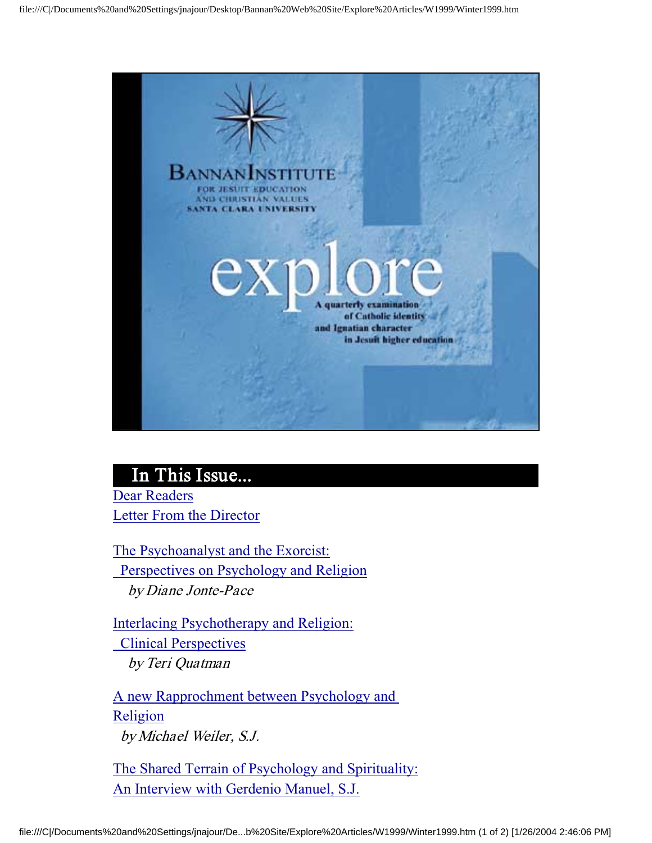

#### In This Issue...

Dear Readers Letter From the Director

The Psychoanalyst and the Exorcist: Perspectives on Psychology and Religion by Diane Jonte-Pace

Interlacing Psychotherapy and Religion: Clinical Perspectives by Teri Quatman

A new Rapprochment between Psychology and Religion by Michael Weiler, S.J.

The Shared Terrain of Psychology and Spirituality: An Interview with Gerdenio Manuel, S.J.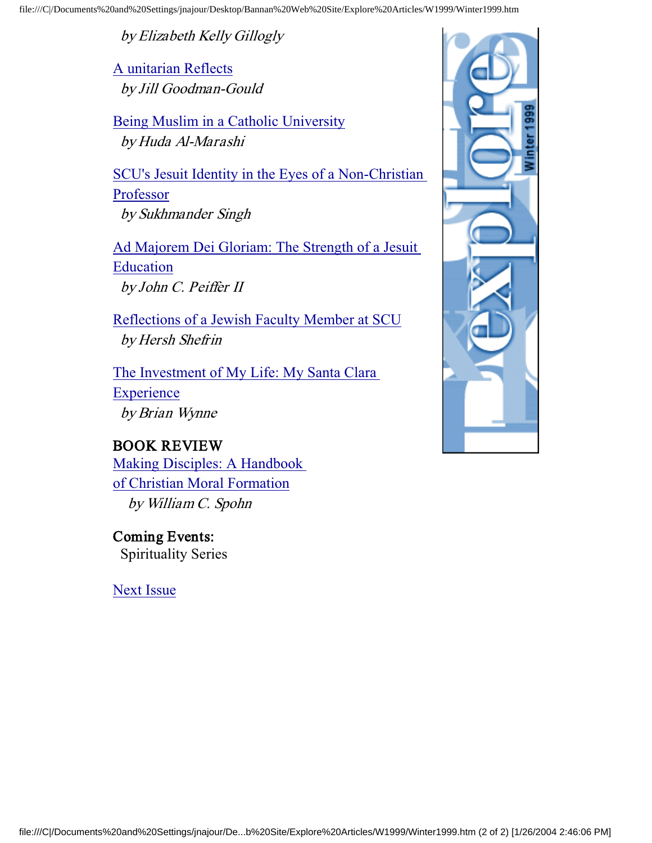by Elizabeth Kelly Gillogly

A unitarian Reflects by Jill Goodman-Gould

Being Muslim in a Catholic University by Huda Al-Marashi

SCU's Jesuit Identity in the Eyes of a Non-Christian Professor by Sukhmander Singh

Ad Majorem Dei Gloriam: The Strength of a Jesuit **Education** by John C. Peiffer II

Reflections of a Jewish Faculty Member at SCU by Hersh Shefrin

The Investment of My Life: My Santa Clara **Experience** by Brian Wynne

#### BOOK REVIEW

Making Disciples: A Handbook of Christian Moral Formation by William C. Spohn

Coming Events: Spirituality Series

Next Issue

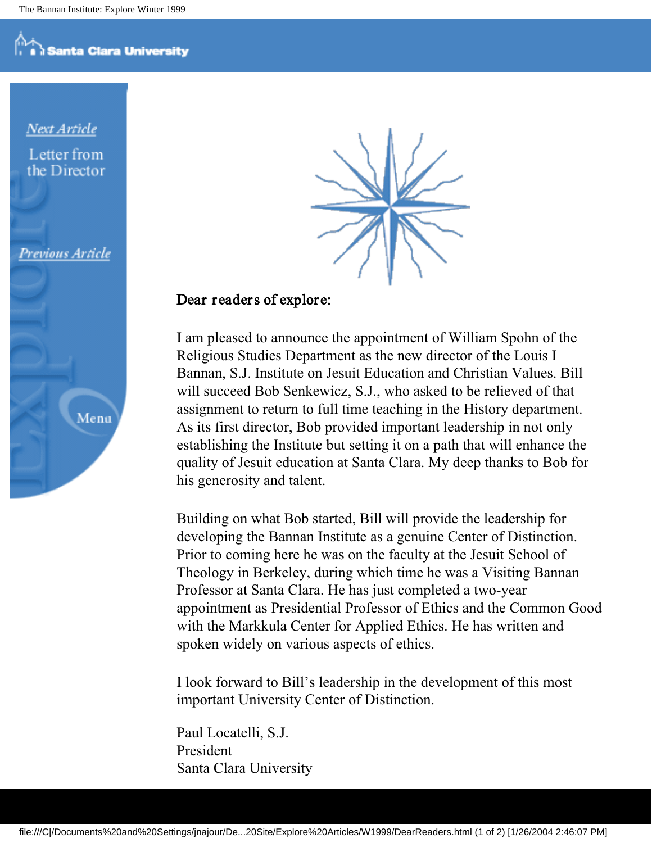Next Article Letter from the Director

Previous Article





#### Dear readers of explore:

I am pleased to announce the appointment of William Spohn of the Religious Studies Department as the new director of the Louis I Bannan, S.J. Institute on Jesuit Education and Christian Values. Bill will succeed Bob Senkewicz, S.J., who asked to be relieved of that assignment to return to full time teaching in the History department. As its first director, Bob provided important leadership in not only establishing the Institute but setting it on a path that will enhance the quality of Jesuit education at Santa Clara. My deep thanks to Bob for his generosity and talent.

Building on what Bob started, Bill will provide the leadership for developing the Bannan Institute as a genuine Center of Distinction. Prior to coming here he was on the faculty at the Jesuit School of Theology in Berkeley, during which time he was a Visiting Bannan Professor at Santa Clara. He has just completed a two-year appointment as Presidential Professor of Ethics and the Common Good with the Markkula Center for Applied Ethics. He has written and spoken widely on various aspects of ethics.

I look forward to Bill's leadership in the development of this most important University Center of Distinction.

Paul Locatelli, S.J. President Santa Clara University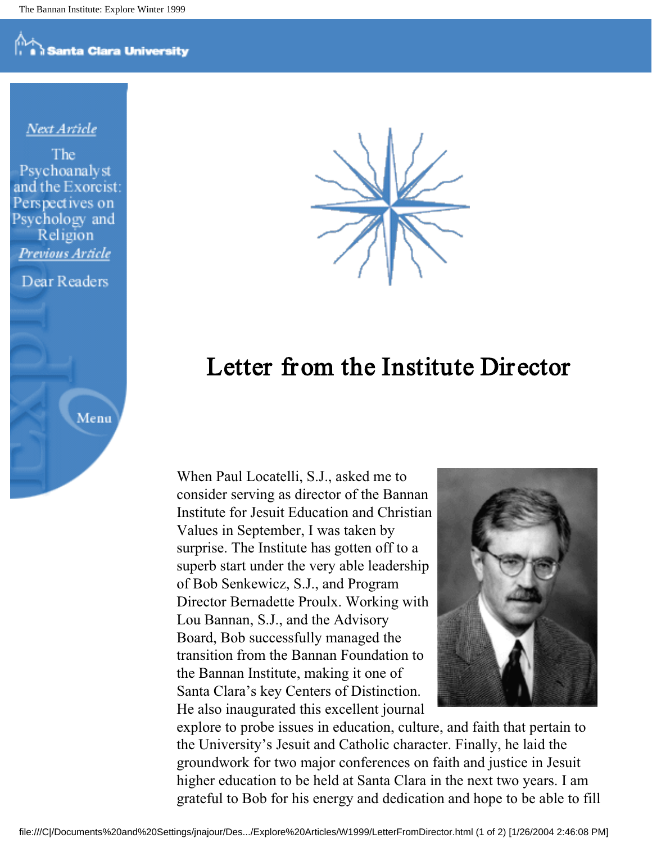**Santa Clara University** 

#### Next Article

The Psychoanalyst and the Exorcist: Perspectives on Psychology and Religion Previous Article

Dear Readers

Menu



## Letter from the Institute Dir ector

When Paul Locatelli, S.J., asked me to consider serving as director of the Bannan Institute for Jesuit Education and Christian Values in September, I was taken by surprise. The Institute has gotten off to a superb start under the very able leadership of Bob Senkewicz, S.J., and Program Director Bernadette Proulx. Working with Lou Bannan, S.J., and the Advisory Board, Bob successfully managed the transition from the Bannan Foundation to the Bannan Institute, making it one of Santa Clara's key Centers of Distinction. He also inaugurated this excellent journal



explore to probe issues in education, culture, and faith that pertain to the University's Jesuit and Catholic character. Finally, he laid the groundwork for two major conferences on faith and justice in Jesuit higher education to be held at Santa Clara in the next two years. I am grateful to Bob for his energy and dedication and hope to be able to fill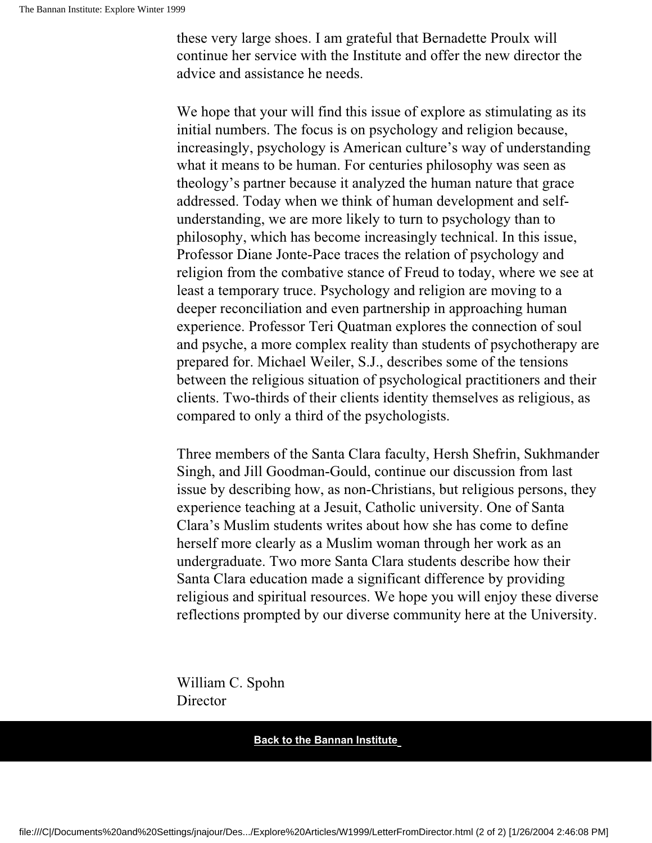these very large shoes. I am grateful that Bernadette Proulx will continue her service with the Institute and offer the new director the advice and assistance he needs.

We hope that your will find this issue of explore as stimulating as its initial numbers. The focus is on psychology and religion because, increasingly, psychology is American culture's way of understanding what it means to be human. For centuries philosophy was seen as theology's partner because it analyzed the human nature that grace addressed. Today when we think of human development and selfunderstanding, we are more likely to turn to psychology than to philosophy, which has become increasingly technical. In this issue, Professor Diane Jonte-Pace traces the relation of psychology and religion from the combative stance of Freud to today, where we see at least a temporary truce. Psychology and religion are moving to a deeper reconciliation and even partnership in approaching human experience. Professor Teri Quatman explores the connection of soul and psyche, a more complex reality than students of psychotherapy are prepared for. Michael Weiler, S.J., describes some of the tensions between the religious situation of psychological practitioners and their clients. Two-thirds of their clients identity themselves as religious, as compared to only a third of the psychologists.

Three members of the Santa Clara faculty, Hersh Shefrin, Sukhmander Singh, and Jill Goodman-Gould, continue our discussion from last issue by describing how, as non-Christians, but religious persons, they experience teaching at a Jesuit, Catholic university. One of Santa Clara's Muslim students writes about how she has come to define herself more clearly as a Muslim woman through her work as an undergraduate. Two more Santa Clara students describe how their Santa Clara education made a significant difference by providing religious and spiritual resources. We hope you will enjoy these diverse reflections prompted by our diverse community here at the University.

William C. Spohn Director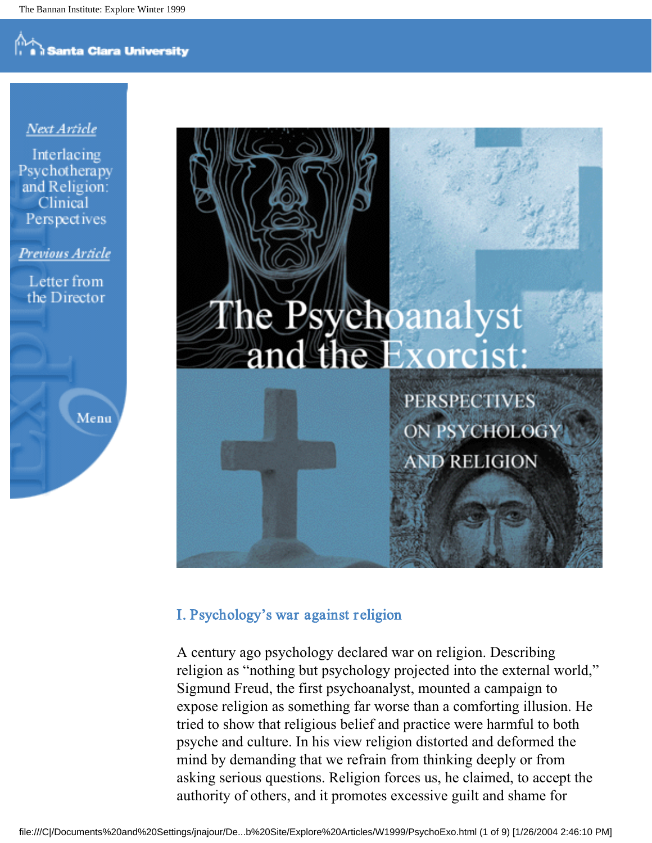#### Next Article

Interlacing Psychotherapy and Religion: Clinical Perspectives

Previous Article

Letter from the Director

Menu



#### I. Psychology's war against r eligion

A century ago psychology declared war on religion. Describing religion as "nothing but psychology projected into the external world," Sigmund Freud, the first psychoanalyst, mounted a campaign to expose religion as something far worse than a comforting illusion. He tried to show that religious belief and practice were harmful to both psyche and culture. In his view religion distorted and deformed the mind by demanding that we refrain from thinking deeply or from asking serious questions. Religion forces us, he claimed, to accept the authority of others, and it promotes excessive guilt and shame for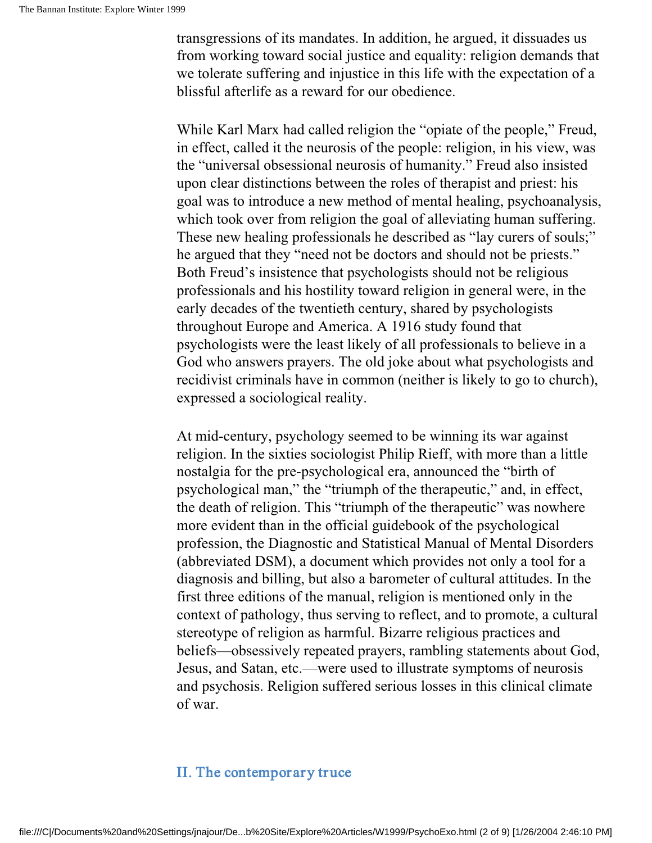transgressions of its mandates. In addition, he argued, it dissuades us from working toward social justice and equality: religion demands that we tolerate suffering and injustice in this life with the expectation of a blissful afterlife as a reward for our obedience.

While Karl Marx had called religion the "opiate of the people," Freud, in effect, called it the neurosis of the people: religion, in his view, was the "universal obsessional neurosis of humanity." Freud also insisted upon clear distinctions between the roles of therapist and priest: his goal was to introduce a new method of mental healing, psychoanalysis, which took over from religion the goal of alleviating human suffering. These new healing professionals he described as "lay curers of souls;" he argued that they "need not be doctors and should not be priests." Both Freud's insistence that psychologists should not be religious professionals and his hostility toward religion in general were, in the early decades of the twentieth century, shared by psychologists throughout Europe and America. A 1916 study found that psychologists were the least likely of all professionals to believe in a God who answers prayers. The old joke about what psychologists and recidivist criminals have in common (neither is likely to go to church), expressed a sociological reality.

At mid-century, psychology seemed to be winning its war against religion. In the sixties sociologist Philip Rieff, with more than a little nostalgia for the pre-psychological era, announced the "birth of psychological man," the "triumph of the therapeutic," and, in effect, the death of religion. This "triumph of the therapeutic" was nowhere more evident than in the official guidebook of the psychological profession, the Diagnostic and Statistical Manual of Mental Disorders (abbreviated DSM), a document which provides not only a tool for a diagnosis and billing, but also a barometer of cultural attitudes. In the first three editions of the manual, religion is mentioned only in the context of pathology, thus serving to reflect, and to promote, a cultural stereotype of religion as harmful. Bizarre religious practices and beliefs—obsessively repeated prayers, rambling statements about God, Jesus, and Satan, etc.—were used to illustrate symptoms of neurosis and psychosis. Religion suffered serious losses in this clinical climate of war.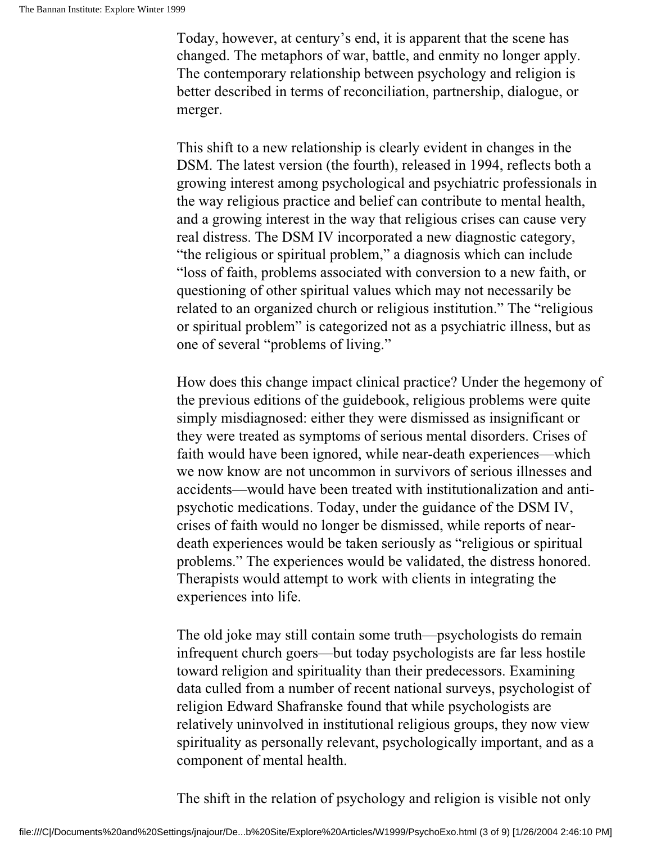Today, however, at century's end, it is apparent that the scene has changed. The metaphors of war, battle, and enmity no longer apply. The contemporary relationship between psychology and religion is better described in terms of reconciliation, partnership, dialogue, or merger.

This shift to a new relationship is clearly evident in changes in the DSM. The latest version (the fourth), released in 1994, reflects both a growing interest among psychological and psychiatric professionals in the way religious practice and belief can contribute to mental health, and a growing interest in the way that religious crises can cause very real distress. The DSM IV incorporated a new diagnostic category, "the religious or spiritual problem," a diagnosis which can include "loss of faith, problems associated with conversion to a new faith, or questioning of other spiritual values which may not necessarily be related to an organized church or religious institution." The "religious or spiritual problem" is categorized not as a psychiatric illness, but as one of several "problems of living."

How does this change impact clinical practice? Under the hegemony of the previous editions of the guidebook, religious problems were quite simply misdiagnosed: either they were dismissed as insignificant or they were treated as symptoms of serious mental disorders. Crises of faith would have been ignored, while near-death experiences—which we now know are not uncommon in survivors of serious illnesses and accidents—would have been treated with institutionalization and antipsychotic medications. Today, under the guidance of the DSM IV, crises of faith would no longer be dismissed, while reports of neardeath experiences would be taken seriously as "religious or spiritual problems." The experiences would be validated, the distress honored. Therapists would attempt to work with clients in integrating the experiences into life.

The old joke may still contain some truth—psychologists do remain infrequent church goers—but today psychologists are far less hostile toward religion and spirituality than their predecessors. Examining data culled from a number of recent national surveys, psychologist of religion Edward Shafranske found that while psychologists are relatively uninvolved in institutional religious groups, they now view spirituality as personally relevant, psychologically important, and as a component of mental health.

The shift in the relation of psychology and religion is visible not only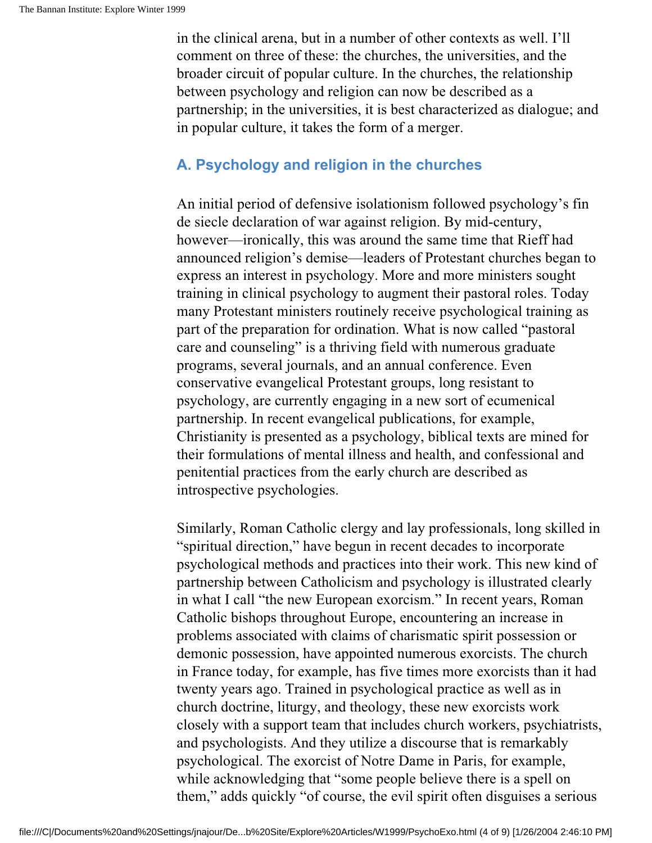in the clinical arena, but in a number of other contexts as well. I'll comment on three of these: the churches, the universities, and the broader circuit of popular culture. In the churches, the relationship between psychology and religion can now be described as a partnership; in the universities, it is best characterized as dialogue; and in popular culture, it takes the form of a merger.

#### **A. Psychology and religion in the churches**

An initial period of defensive isolationism followed psychology's fin de siecle declaration of war against religion. By mid-century, however—ironically, this was around the same time that Rieff had announced religion's demise—leaders of Protestant churches began to express an interest in psychology. More and more ministers sought training in clinical psychology to augment their pastoral roles. Today many Protestant ministers routinely receive psychological training as part of the preparation for ordination. What is now called "pastoral care and counseling" is a thriving field with numerous graduate programs, several journals, and an annual conference. Even conservative evangelical Protestant groups, long resistant to psychology, are currently engaging in a new sort of ecumenical partnership. In recent evangelical publications, for example, Christianity is presented as a psychology, biblical texts are mined for their formulations of mental illness and health, and confessional and penitential practices from the early church are described as introspective psychologies.

Similarly, Roman Catholic clergy and lay professionals, long skilled in "spiritual direction," have begun in recent decades to incorporate psychological methods and practices into their work. This new kind of partnership between Catholicism and psychology is illustrated clearly in what I call "the new European exorcism." In recent years, Roman Catholic bishops throughout Europe, encountering an increase in problems associated with claims of charismatic spirit possession or demonic possession, have appointed numerous exorcists. The church in France today, for example, has five times more exorcists than it had twenty years ago. Trained in psychological practice as well as in church doctrine, liturgy, and theology, these new exorcists work closely with a support team that includes church workers, psychiatrists, and psychologists. And they utilize a discourse that is remarkably psychological. The exorcist of Notre Dame in Paris, for example, while acknowledging that "some people believe there is a spell on them," adds quickly "of course, the evil spirit often disguises a serious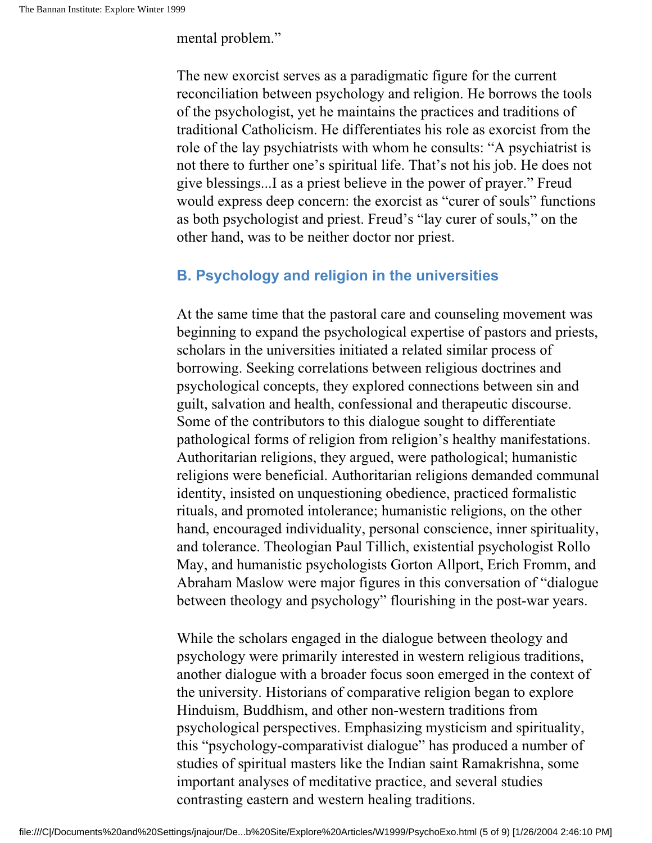mental problem."

The new exorcist serves as a paradigmatic figure for the current reconciliation between psychology and religion. He borrows the tools of the psychologist, yet he maintains the practices and traditions of traditional Catholicism. He differentiates his role as exorcist from the role of the lay psychiatrists with whom he consults: "A psychiatrist is not there to further one's spiritual life. That's not his job. He does not give blessings...I as a priest believe in the power of prayer." Freud would express deep concern: the exorcist as "curer of souls" functions as both psychologist and priest. Freud's "lay curer of souls," on the other hand, was to be neither doctor nor priest.

#### **B. Psychology and religion in the universities**

At the same time that the pastoral care and counseling movement was beginning to expand the psychological expertise of pastors and priests, scholars in the universities initiated a related similar process of borrowing. Seeking correlations between religious doctrines and psychological concepts, they explored connections between sin and guilt, salvation and health, confessional and therapeutic discourse. Some of the contributors to this dialogue sought to differentiate pathological forms of religion from religion's healthy manifestations. Authoritarian religions, they argued, were pathological; humanistic religions were beneficial. Authoritarian religions demanded communal identity, insisted on unquestioning obedience, practiced formalistic rituals, and promoted intolerance; humanistic religions, on the other hand, encouraged individuality, personal conscience, inner spirituality, and tolerance. Theologian Paul Tillich, existential psychologist Rollo May, and humanistic psychologists Gorton Allport, Erich Fromm, and Abraham Maslow were major figures in this conversation of "dialogue between theology and psychology" flourishing in the post-war years.

While the scholars engaged in the dialogue between theology and psychology were primarily interested in western religious traditions, another dialogue with a broader focus soon emerged in the context of the university. Historians of comparative religion began to explore Hinduism, Buddhism, and other non-western traditions from psychological perspectives. Emphasizing mysticism and spirituality, this "psychology-comparativist dialogue" has produced a number of studies of spiritual masters like the Indian saint Ramakrishna, some important analyses of meditative practice, and several studies contrasting eastern and western healing traditions.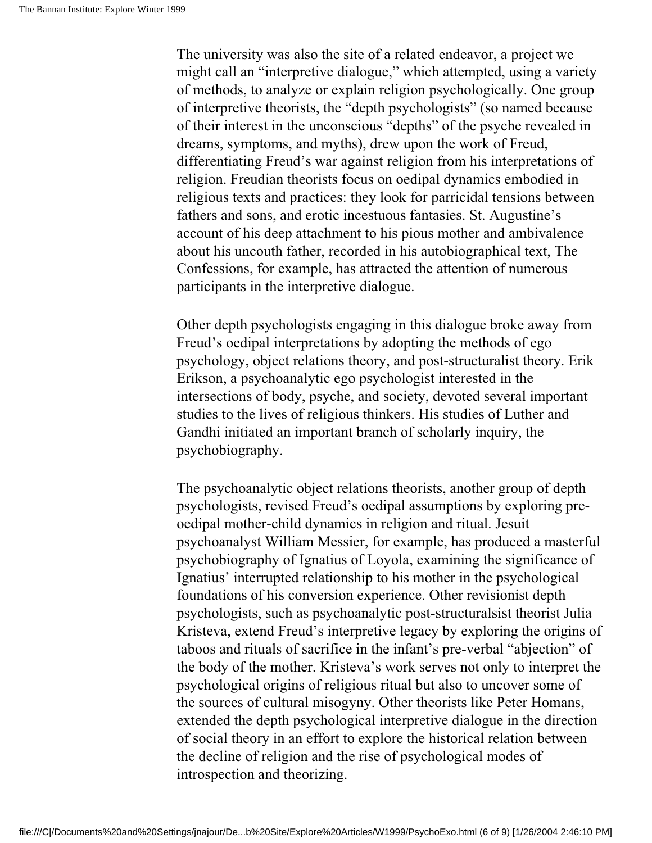The university was also the site of a related endeavor, a project we might call an "interpretive dialogue," which attempted, using a variety of methods, to analyze or explain religion psychologically. One group of interpretive theorists, the "depth psychologists" (so named because of their interest in the unconscious "depths" of the psyche revealed in dreams, symptoms, and myths), drew upon the work of Freud, differentiating Freud's war against religion from his interpretations of religion. Freudian theorists focus on oedipal dynamics embodied in religious texts and practices: they look for parricidal tensions between fathers and sons, and erotic incestuous fantasies. St. Augustine's account of his deep attachment to his pious mother and ambivalence about his uncouth father, recorded in his autobiographical text, The Confessions, for example, has attracted the attention of numerous participants in the interpretive dialogue.

Other depth psychologists engaging in this dialogue broke away from Freud's oedipal interpretations by adopting the methods of ego psychology, object relations theory, and post-structuralist theory. Erik Erikson, a psychoanalytic ego psychologist interested in the intersections of body, psyche, and society, devoted several important studies to the lives of religious thinkers. His studies of Luther and Gandhi initiated an important branch of scholarly inquiry, the psychobiography.

The psychoanalytic object relations theorists, another group of depth psychologists, revised Freud's oedipal assumptions by exploring preoedipal mother-child dynamics in religion and ritual. Jesuit psychoanalyst William Messier, for example, has produced a masterful psychobiography of Ignatius of Loyola, examining the significance of Ignatius' interrupted relationship to his mother in the psychological foundations of his conversion experience. Other revisionist depth psychologists, such as psychoanalytic post-structuralsist theorist Julia Kristeva, extend Freud's interpretive legacy by exploring the origins of taboos and rituals of sacrifice in the infant's pre-verbal "abjection" of the body of the mother. Kristeva's work serves not only to interpret the psychological origins of religious ritual but also to uncover some of the sources of cultural misogyny. Other theorists like Peter Homans, extended the depth psychological interpretive dialogue in the direction of social theory in an effort to explore the historical relation between the decline of religion and the rise of psychological modes of introspection and theorizing.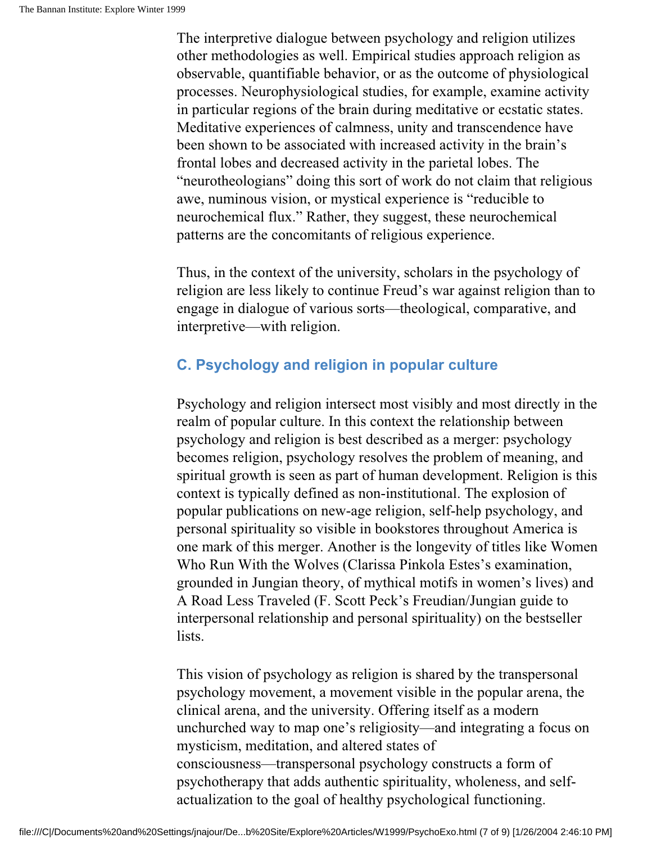The interpretive dialogue between psychology and religion utilizes other methodologies as well. Empirical studies approach religion as observable, quantifiable behavior, or as the outcome of physiological processes. Neurophysiological studies, for example, examine activity in particular regions of the brain during meditative or ecstatic states. Meditative experiences of calmness, unity and transcendence have been shown to be associated with increased activity in the brain's frontal lobes and decreased activity in the parietal lobes. The "neurotheologians" doing this sort of work do not claim that religious awe, numinous vision, or mystical experience is "reducible to neurochemical flux." Rather, they suggest, these neurochemical patterns are the concomitants of religious experience.

Thus, in the context of the university, scholars in the psychology of religion are less likely to continue Freud's war against religion than to engage in dialogue of various sorts—theological, comparative, and interpretive—with religion.

#### **C. Psychology and religion in popular culture**

Psychology and religion intersect most visibly and most directly in the realm of popular culture. In this context the relationship between psychology and religion is best described as a merger: psychology becomes religion, psychology resolves the problem of meaning, and spiritual growth is seen as part of human development. Religion is this context is typically defined as non-institutional. The explosion of popular publications on new-age religion, self-help psychology, and personal spirituality so visible in bookstores throughout America is one mark of this merger. Another is the longevity of titles like Women Who Run With the Wolves (Clarissa Pinkola Estes's examination, grounded in Jungian theory, of mythical motifs in women's lives) and A Road Less Traveled (F. Scott Peck's Freudian/Jungian guide to interpersonal relationship and personal spirituality) on the bestseller lists.

This vision of psychology as religion is shared by the transpersonal psychology movement, a movement visible in the popular arena, the clinical arena, and the university. Offering itself as a modern unchurched way to map one's religiosity—and integrating a focus on mysticism, meditation, and altered states of consciousness—transpersonal psychology constructs a form of psychotherapy that adds authentic spirituality, wholeness, and selfactualization to the goal of healthy psychological functioning.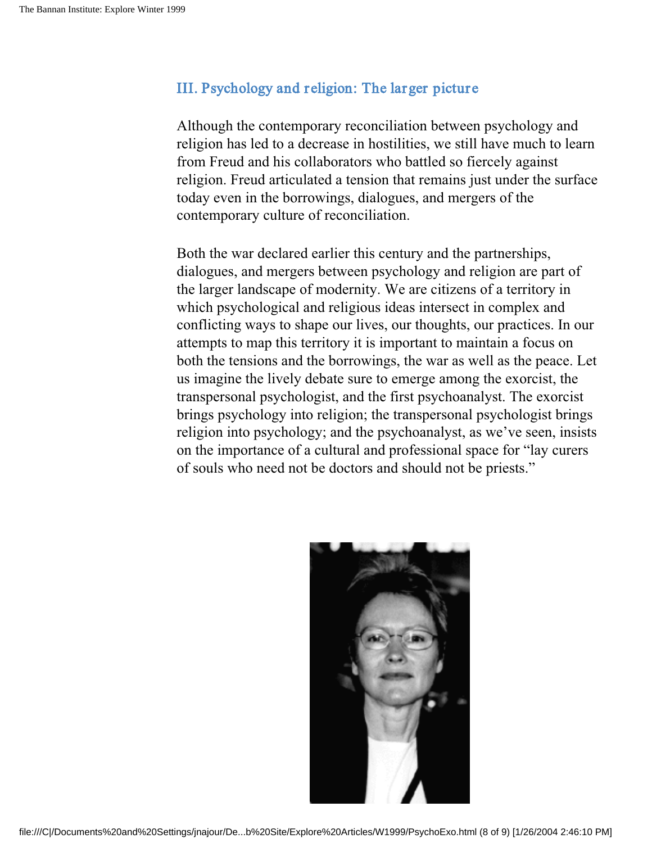#### III. Psychology and religion: The larger picture

Although the contemporary reconciliation between psychology and religion has led to a decrease in hostilities, we still have much to learn from Freud and his collaborators who battled so fiercely against religion. Freud articulated a tension that remains just under the surface today even in the borrowings, dialogues, and mergers of the contemporary culture of reconciliation.

Both the war declared earlier this century and the partnerships, dialogues, and mergers between psychology and religion are part of the larger landscape of modernity. We are citizens of a territory in which psychological and religious ideas intersect in complex and conflicting ways to shape our lives, our thoughts, our practices. In our attempts to map this territory it is important to maintain a focus on both the tensions and the borrowings, the war as well as the peace. Let us imagine the lively debate sure to emerge among the exorcist, the transpersonal psychologist, and the first psychoanalyst. The exorcist brings psychology into religion; the transpersonal psychologist brings religion into psychology; and the psychoanalyst, as we've seen, insists on the importance of a cultural and professional space for "lay curers of souls who need not be doctors and should not be priests."

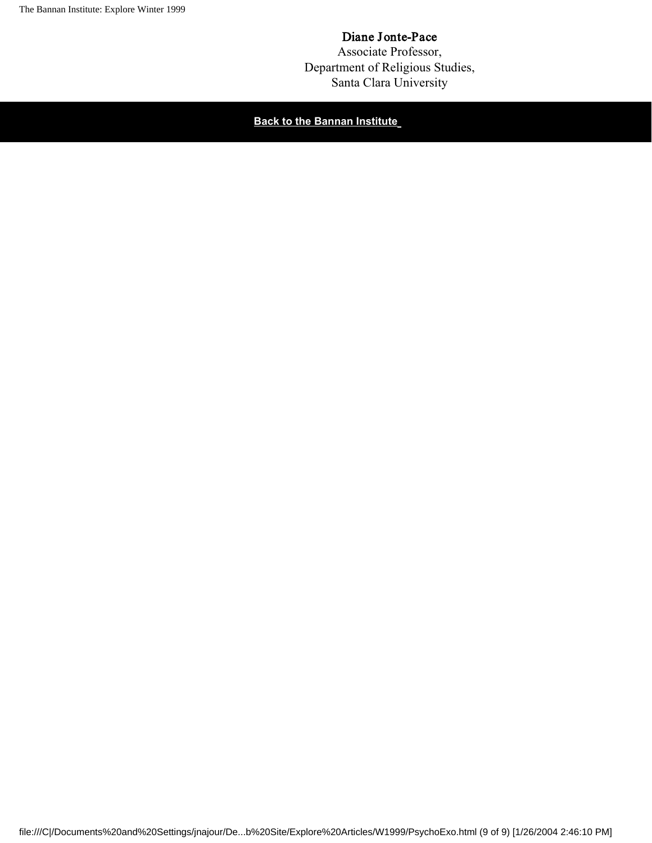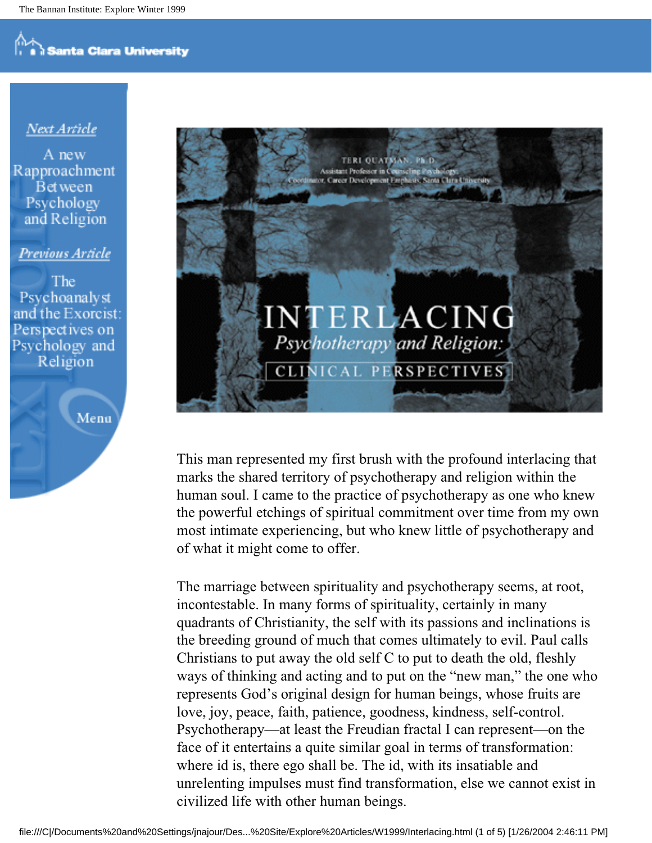#### Next Article

A new Rapproachment **Bet** ween Psychology and Religion

Previous Article

The **Psychoanalyst** and the Exorcist: Perspectives on Psychology and Religion





This man represented my first brush with the profound interlacing that marks the shared territory of psychotherapy and religion within the human soul. I came to the practice of psychotherapy as one who knew the powerful etchings of spiritual commitment over time from my own most intimate experiencing, but who knew little of psychotherapy and of what it might come to offer.

The marriage between spirituality and psychotherapy seems, at root, incontestable. In many forms of spirituality, certainly in many quadrants of Christianity, the self with its passions and inclinations is the breeding ground of much that comes ultimately to evil. Paul calls Christians to put away the old self C to put to death the old, fleshly ways of thinking and acting and to put on the "new man," the one who represents God's original design for human beings, whose fruits are love, joy, peace, faith, patience, goodness, kindness, self-control. Psychotherapy—at least the Freudian fractal I can represent—on the face of it entertains a quite similar goal in terms of transformation: where id is, there ego shall be. The id, with its insatiable and unrelenting impulses must find transformation, else we cannot exist in civilized life with other human beings.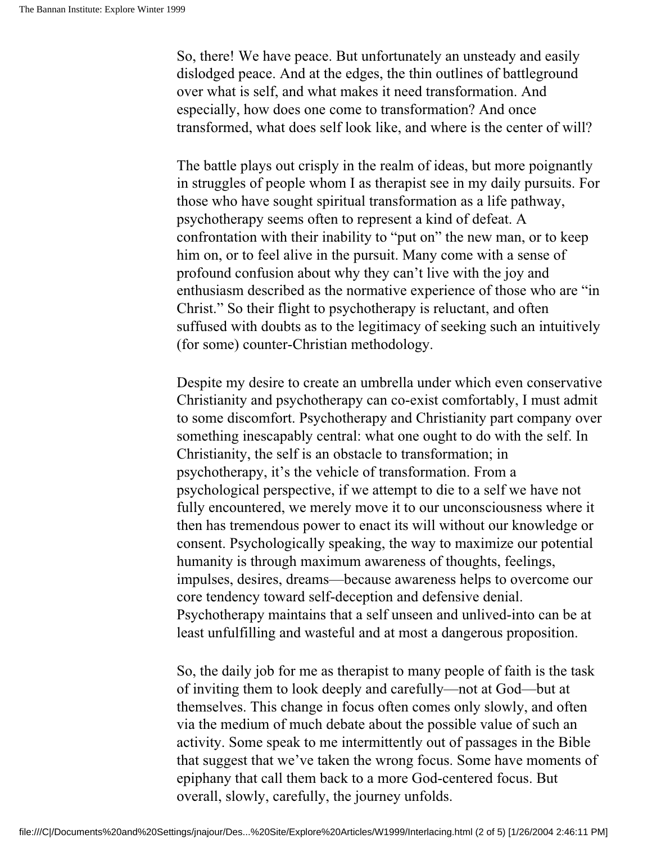So, there! We have peace. But unfortunately an unsteady and easily dislodged peace. And at the edges, the thin outlines of battleground over what is self, and what makes it need transformation. And especially, how does one come to transformation? And once transformed, what does self look like, and where is the center of will?

The battle plays out crisply in the realm of ideas, but more poignantly in struggles of people whom I as therapist see in my daily pursuits. For those who have sought spiritual transformation as a life pathway, psychotherapy seems often to represent a kind of defeat. A confrontation with their inability to "put on" the new man, or to keep him on, or to feel alive in the pursuit. Many come with a sense of profound confusion about why they can't live with the joy and enthusiasm described as the normative experience of those who are "in Christ." So their flight to psychotherapy is reluctant, and often suffused with doubts as to the legitimacy of seeking such an intuitively (for some) counter-Christian methodology.

Despite my desire to create an umbrella under which even conservative Christianity and psychotherapy can co-exist comfortably, I must admit to some discomfort. Psychotherapy and Christianity part company over something inescapably central: what one ought to do with the self. In Christianity, the self is an obstacle to transformation; in psychotherapy, it's the vehicle of transformation. From a psychological perspective, if we attempt to die to a self we have not fully encountered, we merely move it to our unconsciousness where it then has tremendous power to enact its will without our knowledge or consent. Psychologically speaking, the way to maximize our potential humanity is through maximum awareness of thoughts, feelings, impulses, desires, dreams—because awareness helps to overcome our core tendency toward self-deception and defensive denial. Psychotherapy maintains that a self unseen and unlived-into can be at least unfulfilling and wasteful and at most a dangerous proposition.

So, the daily job for me as therapist to many people of faith is the task of inviting them to look deeply and carefully—not at God—but at themselves. This change in focus often comes only slowly, and often via the medium of much debate about the possible value of such an activity. Some speak to me intermittently out of passages in the Bible that suggest that we've taken the wrong focus. Some have moments of epiphany that call them back to a more God-centered focus. But overall, slowly, carefully, the journey unfolds.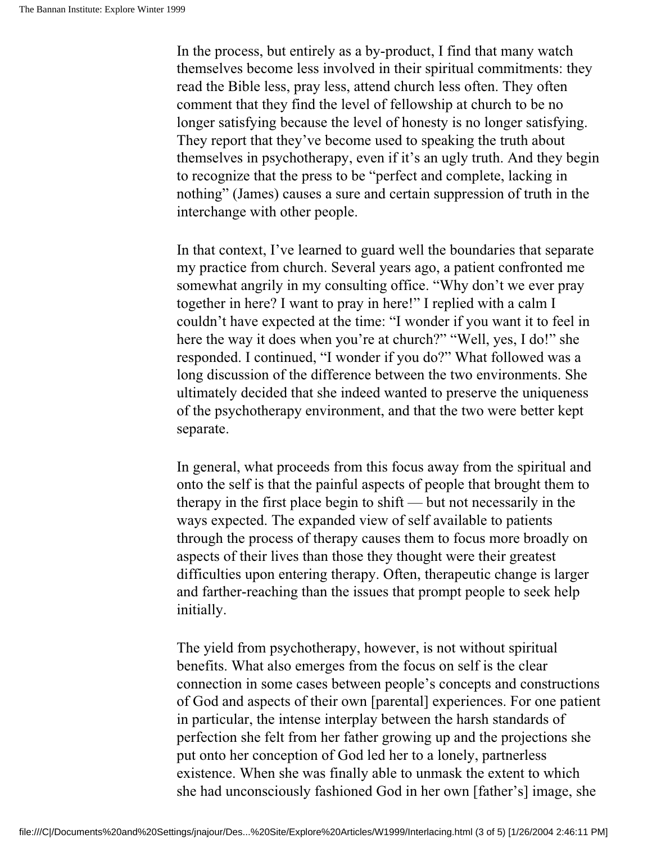In the process, but entirely as a by-product, I find that many watch themselves become less involved in their spiritual commitments: they read the Bible less, pray less, attend church less often. They often comment that they find the level of fellowship at church to be no longer satisfying because the level of honesty is no longer satisfying. They report that they've become used to speaking the truth about themselves in psychotherapy, even if it's an ugly truth. And they begin to recognize that the press to be "perfect and complete, lacking in nothing" (James) causes a sure and certain suppression of truth in the interchange with other people.

In that context, I've learned to guard well the boundaries that separate my practice from church. Several years ago, a patient confronted me somewhat angrily in my consulting office. "Why don't we ever pray together in here? I want to pray in here!" I replied with a calm I couldn't have expected at the time: "I wonder if you want it to feel in here the way it does when you're at church?" "Well, yes, I do!" she responded. I continued, "I wonder if you do?" What followed was a long discussion of the difference between the two environments. She ultimately decided that she indeed wanted to preserve the uniqueness of the psychotherapy environment, and that the two were better kept separate.

In general, what proceeds from this focus away from the spiritual and onto the self is that the painful aspects of people that brought them to therapy in the first place begin to shift — but not necessarily in the ways expected. The expanded view of self available to patients through the process of therapy causes them to focus more broadly on aspects of their lives than those they thought were their greatest difficulties upon entering therapy. Often, therapeutic change is larger and farther-reaching than the issues that prompt people to seek help initially.

The yield from psychotherapy, however, is not without spiritual benefits. What also emerges from the focus on self is the clear connection in some cases between people's concepts and constructions of God and aspects of their own [parental] experiences. For one patient in particular, the intense interplay between the harsh standards of perfection she felt from her father growing up and the projections she put onto her conception of God led her to a lonely, partnerless existence. When she was finally able to unmask the extent to which she had unconsciously fashioned God in her own [father's] image, she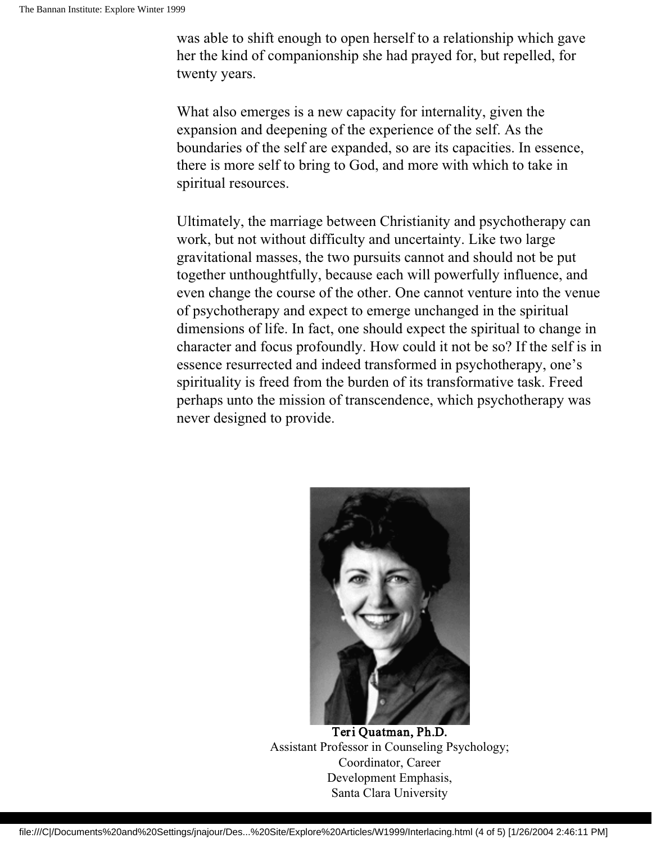was able to shift enough to open herself to a relationship which gave her the kind of companionship she had prayed for, but repelled, for twenty years.

What also emerges is a new capacity for internality, given the expansion and deepening of the experience of the self. As the boundaries of the self are expanded, so are its capacities. In essence, there is more self to bring to God, and more with which to take in spiritual resources.

Ultimately, the marriage between Christianity and psychotherapy can work, but not without difficulty and uncertainty. Like two large gravitational masses, the two pursuits cannot and should not be put together unthoughtfully, because each will powerfully influence, and even change the course of the other. One cannot venture into the venue of psychotherapy and expect to emerge unchanged in the spiritual dimensions of life. In fact, one should expect the spiritual to change in character and focus profoundly. How could it not be so? If the self is in essence resurrected and indeed transformed in psychotherapy, one's spirituality is freed from the burden of its transformative task. Freed perhaps unto the mission of transcendence, which psychotherapy was never designed to provide.



Teri Quatman, Ph.D. Assistant Professor in Counseling Psychology; Coordinator, Career Development Emphasis, Santa Clara University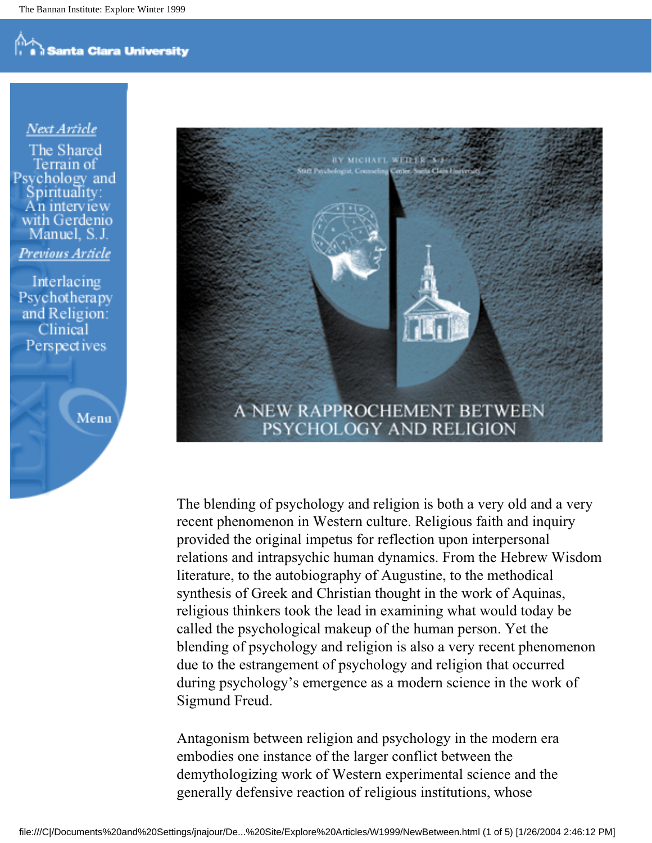#### Next Article

The Shared Ferrain of Psvchology and with Gerdenio Manuel, S.J. Previous Article

Interlacing Psychotherapy and Religion: Clinical Perspectives





The blending of psychology and religion is both a very old and a very recent phenomenon in Western culture. Religious faith and inquiry provided the original impetus for reflection upon interpersonal relations and intrapsychic human dynamics. From the Hebrew Wisdom literature, to the autobiography of Augustine, to the methodical synthesis of Greek and Christian thought in the work of Aquinas, religious thinkers took the lead in examining what would today be called the psychological makeup of the human person. Yet the blending of psychology and religion is also a very recent phenomenon due to the estrangement of psychology and religion that occurred during psychology's emergence as a modern science in the work of Sigmund Freud.

Antagonism between religion and psychology in the modern era embodies one instance of the larger conflict between the demythologizing work of Western experimental science and the generally defensive reaction of religious institutions, whose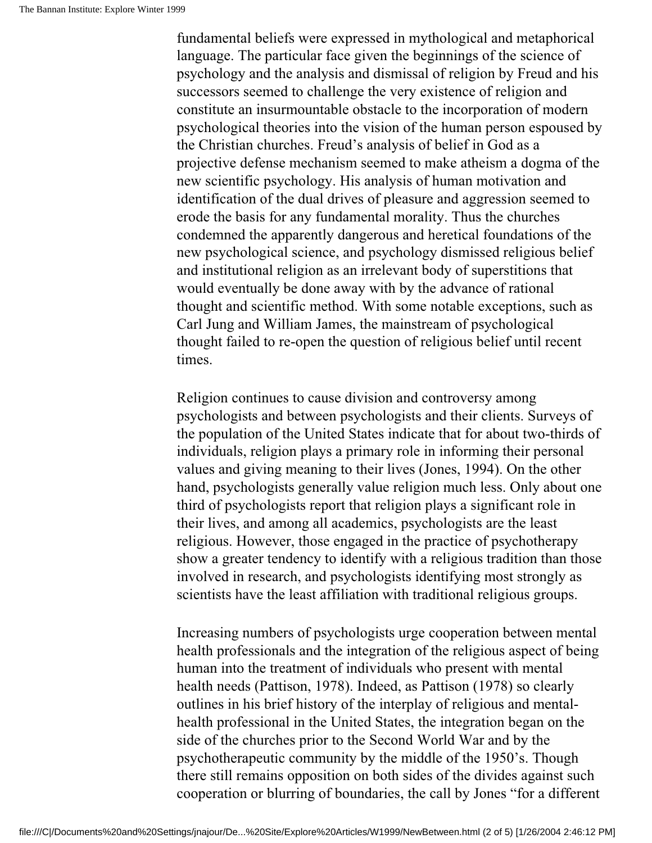fundamental beliefs were expressed in mythological and metaphorical language. The particular face given the beginnings of the science of psychology and the analysis and dismissal of religion by Freud and his successors seemed to challenge the very existence of religion and constitute an insurmountable obstacle to the incorporation of modern psychological theories into the vision of the human person espoused by the Christian churches. Freud's analysis of belief in God as a projective defense mechanism seemed to make atheism a dogma of the new scientific psychology. His analysis of human motivation and identification of the dual drives of pleasure and aggression seemed to erode the basis for any fundamental morality. Thus the churches condemned the apparently dangerous and heretical foundations of the new psychological science, and psychology dismissed religious belief and institutional religion as an irrelevant body of superstitions that would eventually be done away with by the advance of rational thought and scientific method. With some notable exceptions, such as Carl Jung and William James, the mainstream of psychological thought failed to re-open the question of religious belief until recent times.

Religion continues to cause division and controversy among psychologists and between psychologists and their clients. Surveys of the population of the United States indicate that for about two-thirds of individuals, religion plays a primary role in informing their personal values and giving meaning to their lives (Jones, 1994). On the other hand, psychologists generally value religion much less. Only about one third of psychologists report that religion plays a significant role in their lives, and among all academics, psychologists are the least religious. However, those engaged in the practice of psychotherapy show a greater tendency to identify with a religious tradition than those involved in research, and psychologists identifying most strongly as scientists have the least affiliation with traditional religious groups.

Increasing numbers of psychologists urge cooperation between mental health professionals and the integration of the religious aspect of being human into the treatment of individuals who present with mental health needs (Pattison, 1978). Indeed, as Pattison (1978) so clearly outlines in his brief history of the interplay of religious and mentalhealth professional in the United States, the integration began on the side of the churches prior to the Second World War and by the psychotherapeutic community by the middle of the 1950's. Though there still remains opposition on both sides of the divides against such cooperation or blurring of boundaries, the call by Jones "for a different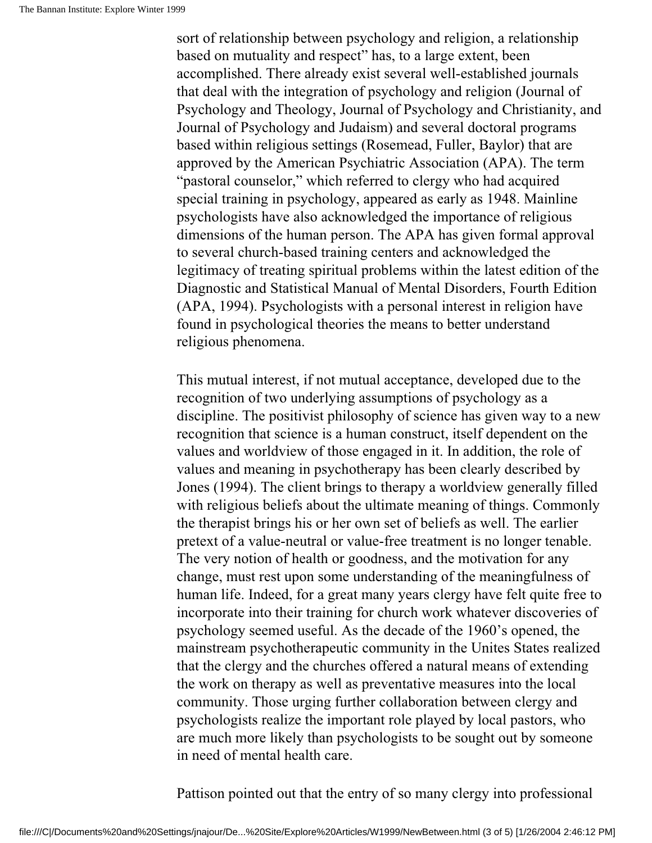sort of relationship between psychology and religion, a relationship based on mutuality and respect" has, to a large extent, been accomplished. There already exist several well-established journals that deal with the integration of psychology and religion (Journal of Psychology and Theology, Journal of Psychology and Christianity, and Journal of Psychology and Judaism) and several doctoral programs based within religious settings (Rosemead, Fuller, Baylor) that are approved by the American Psychiatric Association (APA). The term "pastoral counselor," which referred to clergy who had acquired special training in psychology, appeared as early as 1948. Mainline psychologists have also acknowledged the importance of religious dimensions of the human person. The APA has given formal approval to several church-based training centers and acknowledged the legitimacy of treating spiritual problems within the latest edition of the Diagnostic and Statistical Manual of Mental Disorders, Fourth Edition (APA, 1994). Psychologists with a personal interest in religion have found in psychological theories the means to better understand religious phenomena.

This mutual interest, if not mutual acceptance, developed due to the recognition of two underlying assumptions of psychology as a discipline. The positivist philosophy of science has given way to a new recognition that science is a human construct, itself dependent on the values and worldview of those engaged in it. In addition, the role of values and meaning in psychotherapy has been clearly described by Jones (1994). The client brings to therapy a worldview generally filled with religious beliefs about the ultimate meaning of things. Commonly the therapist brings his or her own set of beliefs as well. The earlier pretext of a value-neutral or value-free treatment is no longer tenable. The very notion of health or goodness, and the motivation for any change, must rest upon some understanding of the meaningfulness of human life. Indeed, for a great many years clergy have felt quite free to incorporate into their training for church work whatever discoveries of psychology seemed useful. As the decade of the 1960's opened, the mainstream psychotherapeutic community in the Unites States realized that the clergy and the churches offered a natural means of extending the work on therapy as well as preventative measures into the local community. Those urging further collaboration between clergy and psychologists realize the important role played by local pastors, who are much more likely than psychologists to be sought out by someone in need of mental health care.

Pattison pointed out that the entry of so many clergy into professional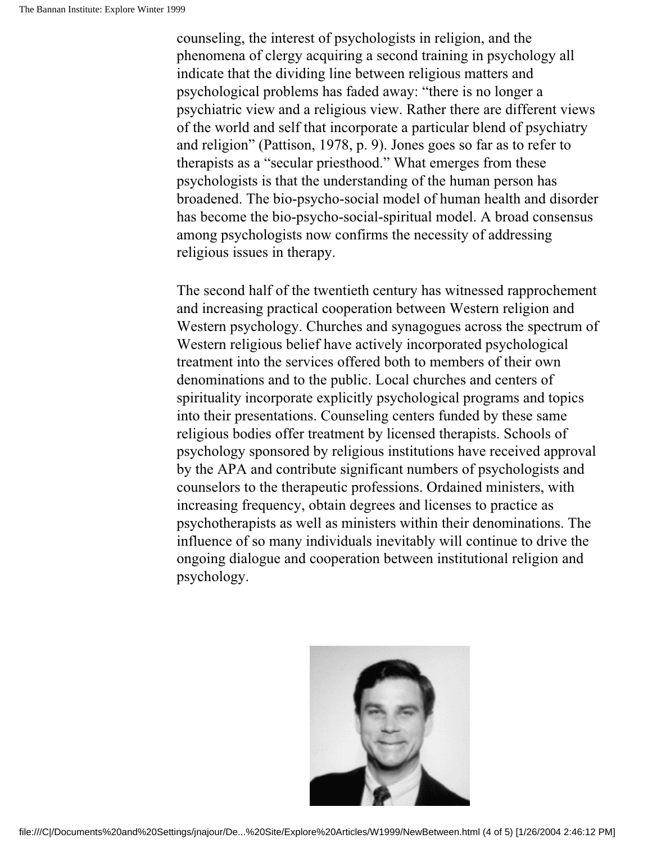counseling, the interest of psychologists in religion, and the phenomena of clergy acquiring a second training in psychology all indicate that the dividing line between religious matters and psychological problems has faded away: "there is no longer a psychiatric view and a religious view. Rather there are different views of the world and self that incorporate a particular blend of psychiatry and religion" (Pattison, 1978, p. 9). Jones goes so far as to refer to therapists as a "secular priesthood." What emerges from these psychologists is that the understanding of the human person has broadened. The bio-psycho-social model of human health and disorder has become the bio-psycho-social-spiritual model. A broad consensus among psychologists now confirms the necessity of addressing religious issues in therapy.

The second half of the twentieth century has witnessed rapprochement and increasing practical cooperation between Western religion and Western psychology. Churches and synagogues across the spectrum of Western religious belief have actively incorporated psychological treatment into the services offered both to members of their own denominations and to the public. Local churches and centers of spirituality incorporate explicitly psychological programs and topics into their presentations. Counseling centers funded by these same religious bodies offer treatment by licensed therapists. Schools of psychology sponsored by religious institutions have received approval by the APA and contribute significant numbers of psychologists and counselors to the therapeutic professions. Ordained ministers, with increasing frequency, obtain degrees and licenses to practice as psychotherapists as well as ministers within their denominations. The influence of so many individuals inevitably will continue to drive the ongoing dialogue and cooperation between institutional religion and psychology.

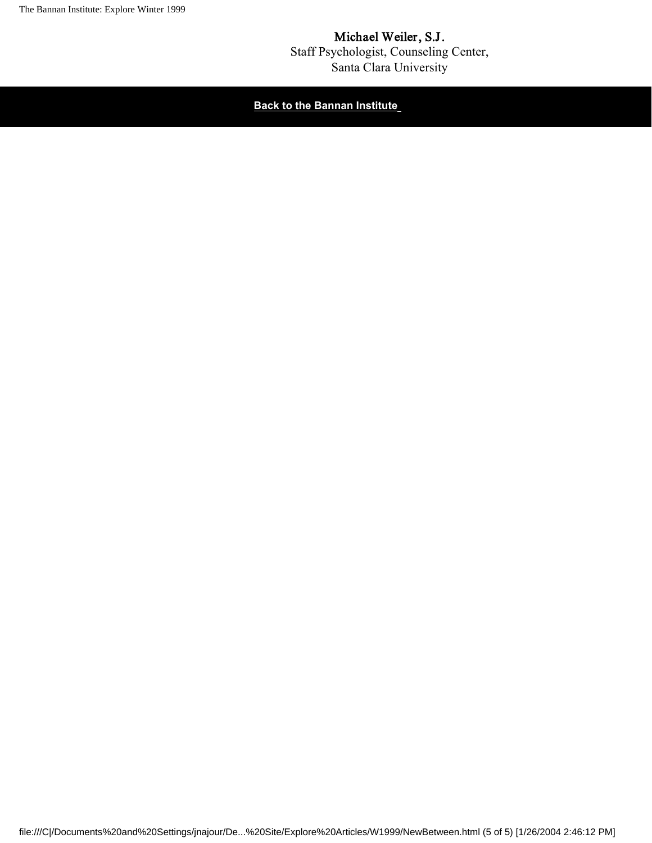

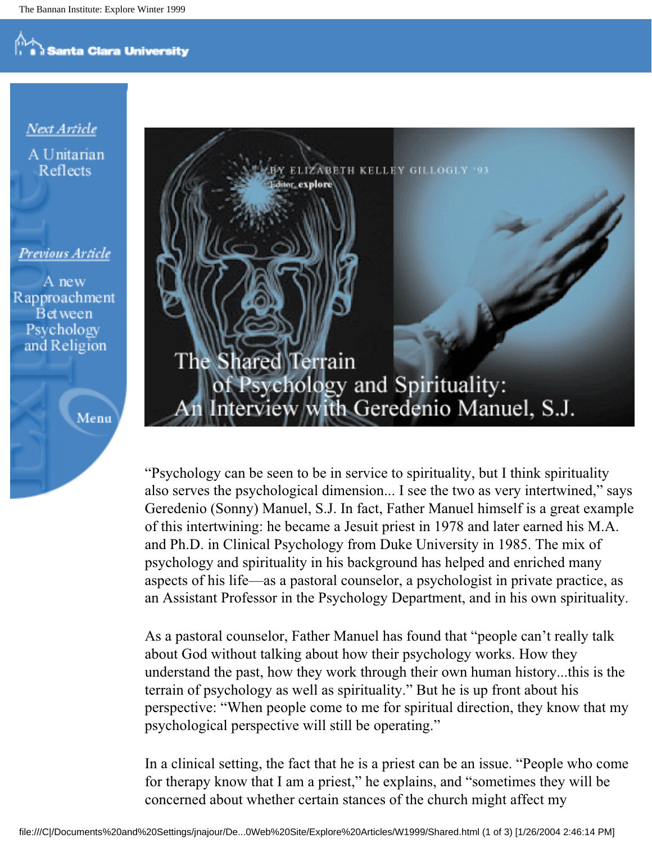#### Next Article A Unitarian Reflects

Previous Article

A new Rapproachment **Bet** ween Psychology and Religion





"Psychology can be seen to be in service to spirituality, but I think spirituality also serves the psychological dimension... I see the two as very intertwined," says Geredenio (Sonny) Manuel, S.J. In fact, Father Manuel himself is a great example of this intertwining: he became a Jesuit priest in 1978 and later earned his M.A. and Ph.D. in Clinical Psychology from Duke University in 1985. The mix of psychology and spirituality in his background has helped and enriched many aspects of his life—as a pastoral counselor, a psychologist in private practice, as an Assistant Professor in the Psychology Department, and in his own spirituality.

As a pastoral counselor, Father Manuel has found that "people can't really talk about God without talking about how their psychology works. How they understand the past, how they work through their own human history...this is the terrain of psychology as well as spirituality." But he is up front about his perspective: "When people come to me for spiritual direction, they know that my psychological perspective will still be operating."

In a clinical setting, the fact that he is a priest can be an issue. "People who come for therapy know that I am a priest," he explains, and "sometimes they will be concerned about whether certain stances of the church might affect my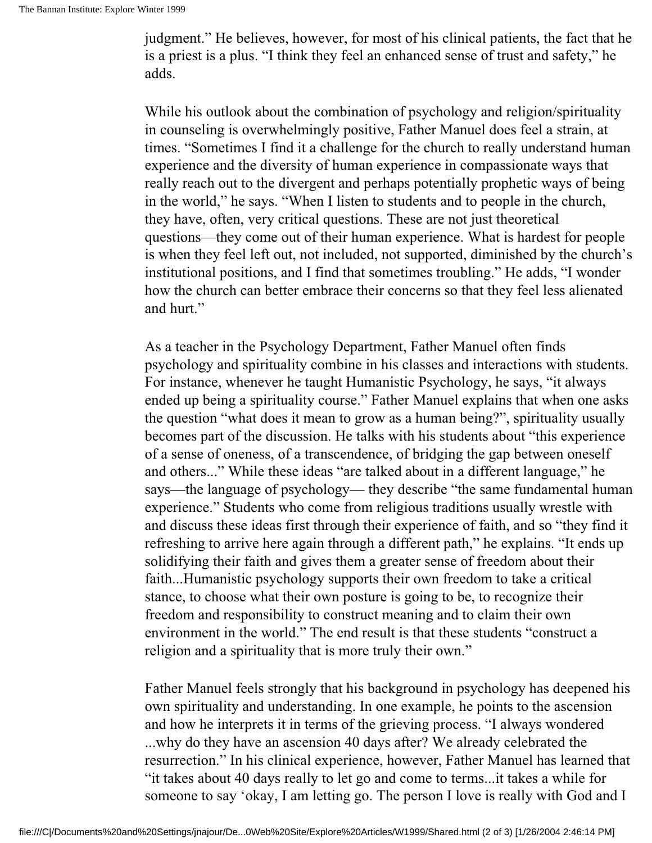judgment." He believes, however, for most of his clinical patients, the fact that he is a priest is a plus. "I think they feel an enhanced sense of trust and safety," he adds.

While his outlook about the combination of psychology and religion/spirituality in counseling is overwhelmingly positive, Father Manuel does feel a strain, at times. "Sometimes I find it a challenge for the church to really understand human experience and the diversity of human experience in compassionate ways that really reach out to the divergent and perhaps potentially prophetic ways of being in the world," he says. "When I listen to students and to people in the church, they have, often, very critical questions. These are not just theoretical questions—they come out of their human experience. What is hardest for people is when they feel left out, not included, not supported, diminished by the church's institutional positions, and I find that sometimes troubling." He adds, "I wonder how the church can better embrace their concerns so that they feel less alienated and hurt."

As a teacher in the Psychology Department, Father Manuel often finds psychology and spirituality combine in his classes and interactions with students. For instance, whenever he taught Humanistic Psychology, he says, "it always ended up being a spirituality course." Father Manuel explains that when one asks the question "what does it mean to grow as a human being?", spirituality usually becomes part of the discussion. He talks with his students about "this experience of a sense of oneness, of a transcendence, of bridging the gap between oneself and others..." While these ideas "are talked about in a different language," he says—the language of psychology— they describe "the same fundamental human experience." Students who come from religious traditions usually wrestle with and discuss these ideas first through their experience of faith, and so "they find it refreshing to arrive here again through a different path," he explains. "It ends up solidifying their faith and gives them a greater sense of freedom about their faith...Humanistic psychology supports their own freedom to take a critical stance, to choose what their own posture is going to be, to recognize their freedom and responsibility to construct meaning and to claim their own environment in the world." The end result is that these students "construct a religion and a spirituality that is more truly their own."

Father Manuel feels strongly that his background in psychology has deepened his own spirituality and understanding. In one example, he points to the ascension and how he interprets it in terms of the grieving process. "I always wondered ...why do they have an ascension 40 days after? We already celebrated the resurrection." In his clinical experience, however, Father Manuel has learned that "it takes about 40 days really to let go and come to terms...it takes a while for someone to say 'okay, I am letting go. The person I love is really with God and I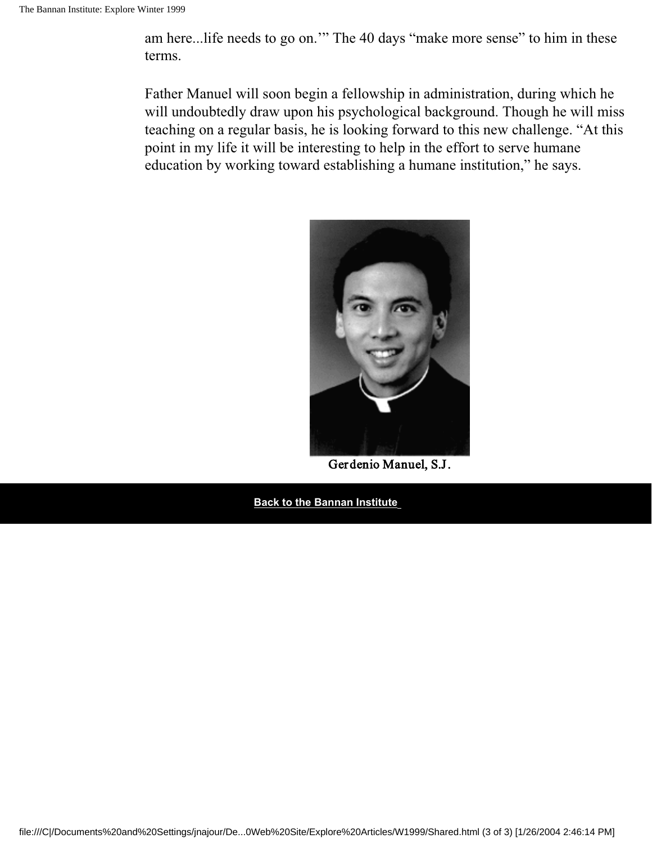am here...life needs to go on.'" The 40 days "make more sense" to him in these terms.

Father Manuel will soon begin a fellowship in administration, during which he will undoubtedly draw upon his psychological background. Though he will miss teaching on a regular basis, he is looking forward to this new challenge. "At this point in my life it will be interesting to help in the effort to serve humane education by working toward establishing a humane institution," he says.



Gerdenio Manuel, S.J.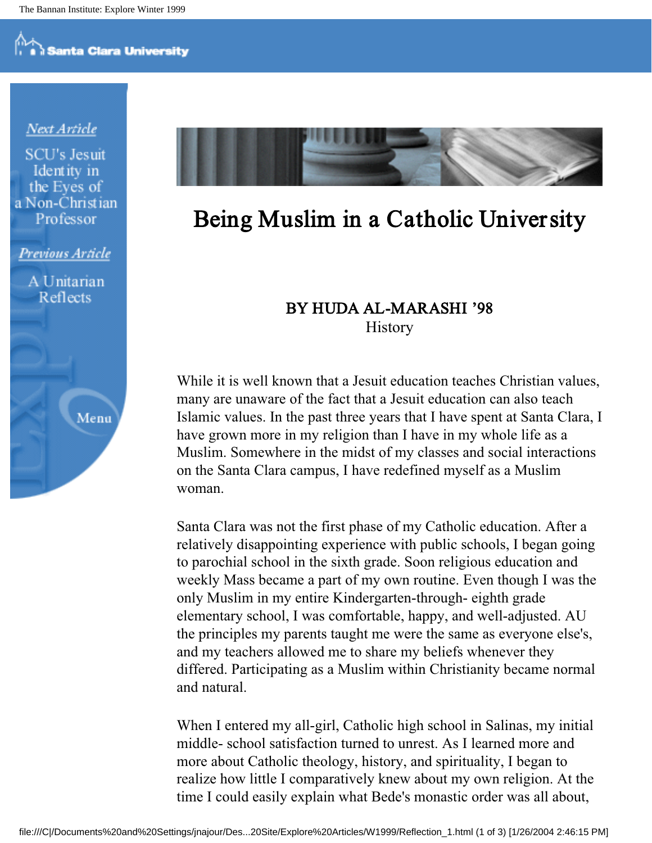#### Next Article

**SCU's Jesuit** Identity in the Eves of a Non-Christian Professor

Previous Article

A Unitarian Reflects

Menu



## Being Muslim in a Catholic University

#### BY HUDA AL-MARASHI '98 **History**

While it is well known that a Jesuit education teaches Christian values, many are unaware of the fact that a Jesuit education can also teach Islamic values. In the past three years that I have spent at Santa Clara, I have grown more in my religion than I have in my whole life as a Muslim. Somewhere in the midst of my classes and social interactions on the Santa Clara campus, I have redefined myself as a Muslim woman.

Santa Clara was not the first phase of my Catholic education. After a relatively disappointing experience with public schools, I began going to parochial school in the sixth grade. Soon religious education and weekly Mass became a part of my own routine. Even though I was the only Muslim in my entire Kindergarten-through- eighth grade elementary school, I was comfortable, happy, and well-adjusted. AU the principles my parents taught me were the same as everyone else's, and my teachers allowed me to share my beliefs whenever they differed. Participating as a Muslim within Christianity became normal and natural.

When I entered my all-girl, Catholic high school in Salinas, my initial middle- school satisfaction turned to unrest. As I learned more and more about Catholic theology, history, and spirituality, I began to realize how little I comparatively knew about my own religion. At the time I could easily explain what Bede's monastic order was all about,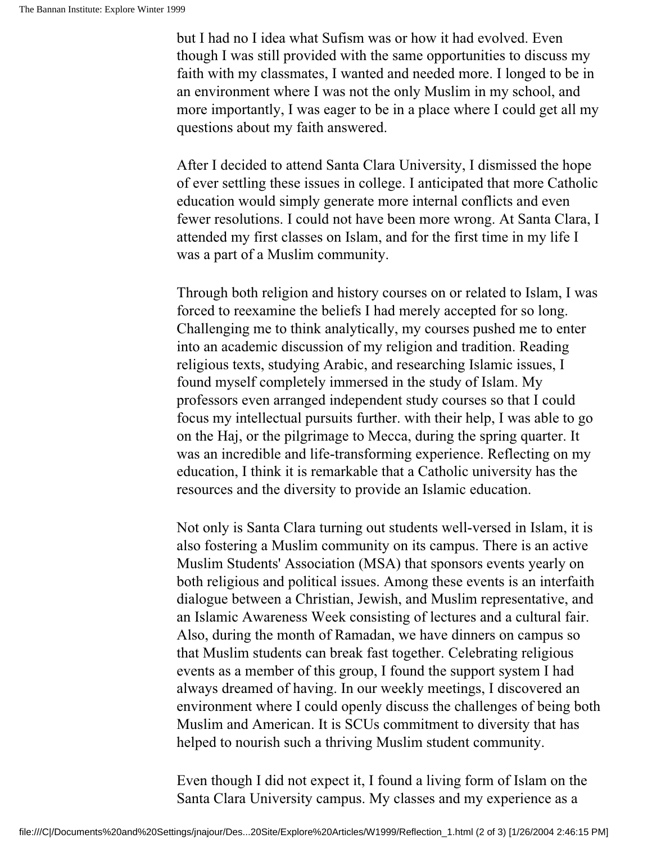but I had no I idea what Sufism was or how it had evolved. Even though I was still provided with the same opportunities to discuss my faith with my classmates, I wanted and needed more. I longed to be in an environment where I was not the only Muslim in my school, and more importantly, I was eager to be in a place where I could get all my questions about my faith answered.

After I decided to attend Santa Clara University, I dismissed the hope of ever settling these issues in college. I anticipated that more Catholic education would simply generate more internal conflicts and even fewer resolutions. I could not have been more wrong. At Santa Clara, I attended my first classes on Islam, and for the first time in my life I was a part of a Muslim community.

Through both religion and history courses on or related to Islam, I was forced to reexamine the beliefs I had merely accepted for so long. Challenging me to think analytically, my courses pushed me to enter into an academic discussion of my religion and tradition. Reading religious texts, studying Arabic, and researching Islamic issues, I found myself completely immersed in the study of Islam. My professors even arranged independent study courses so that I could focus my intellectual pursuits further. with their help, I was able to go on the Haj, or the pilgrimage to Mecca, during the spring quarter. It was an incredible and life-transforming experience. Reflecting on my education, I think it is remarkable that a Catholic university has the resources and the diversity to provide an Islamic education.

Not only is Santa Clara turning out students well-versed in Islam, it is also fostering a Muslim community on its campus. There is an active Muslim Students' Association (MSA) that sponsors events yearly on both religious and political issues. Among these events is an interfaith dialogue between a Christian, Jewish, and Muslim representative, and an Islamic Awareness Week consisting of lectures and a cultural fair. Also, during the month of Ramadan, we have dinners on campus so that Muslim students can break fast together. Celebrating religious events as a member of this group, I found the support system I had always dreamed of having. In our weekly meetings, I discovered an environment where I could openly discuss the challenges of being both Muslim and American. It is SCUs commitment to diversity that has helped to nourish such a thriving Muslim student community.

Even though I did not expect it, I found a living form of Islam on the Santa Clara University campus. My classes and my experience as a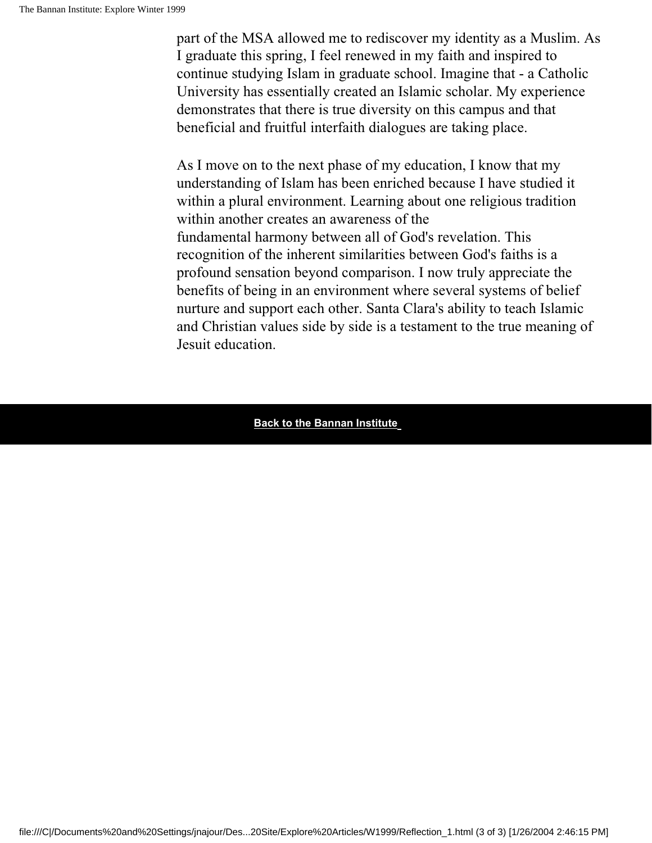part of the MSA allowed me to rediscover my identity as a Muslim. As I graduate this spring, I feel renewed in my faith and inspired to continue studying Islam in graduate school. Imagine that - a Catholic University has essentially created an Islamic scholar. My experience demonstrates that there is true diversity on this campus and that beneficial and fruitful interfaith dialogues are taking place.

As I move on to the next phase of my education, I know that my understanding of Islam has been enriched because I have studied it within a plural environment. Learning about one religious tradition within another creates an awareness of the fundamental harmony between all of God's revelation. This recognition of the inherent similarities between God's faiths is a profound sensation beyond comparison. I now truly appreciate the benefits of being in an environment where several systems of belief nurture and support each other. Santa Clara's ability to teach Islamic and Christian values side by side is a testament to the true meaning of Jesuit education.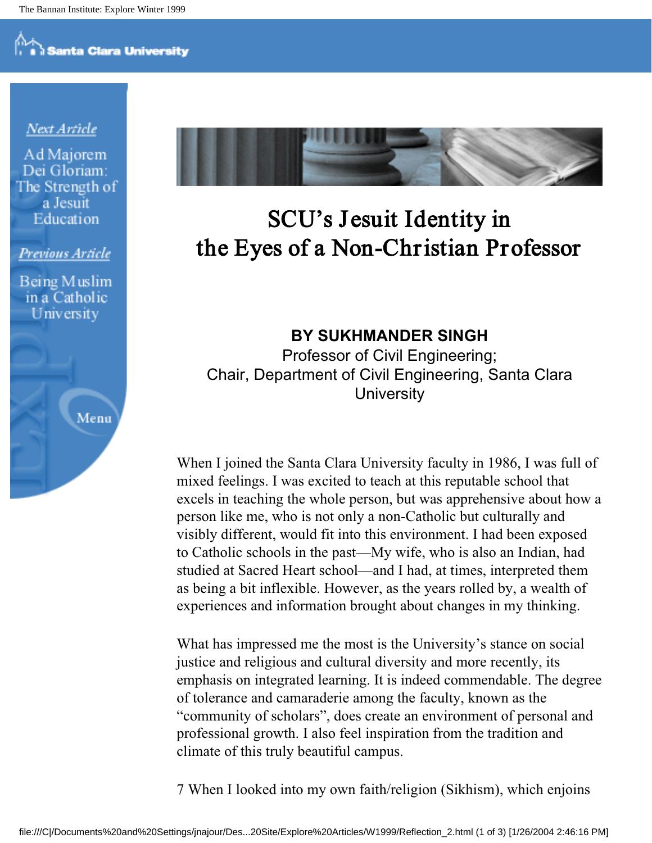#### Next Article

Ad Majorem Dei Gloriam: The Strength of a Jesuit Education

#### Previous Article

Being Muslim in a Catholic University

Menu



## SCU's Jesuit Identity in the Eyes of a Non-Christian Professor

**BY SUKHMANDER SINGH**

Professor of Civil Engineering; Chair, Department of Civil Engineering, Santa Clara **University** 

When I joined the Santa Clara University faculty in 1986, I was full of mixed feelings. I was excited to teach at this reputable school that excels in teaching the whole person, but was apprehensive about how a person like me, who is not only a non-Catholic but culturally and visibly different, would fit into this environment. I had been exposed to Catholic schools in the past—My wife, who is also an Indian, had studied at Sacred Heart school—and I had, at times, interpreted them as being a bit inflexible. However, as the years rolled by, a wealth of experiences and information brought about changes in my thinking.

What has impressed me the most is the University's stance on social justice and religious and cultural diversity and more recently, its emphasis on integrated learning. It is indeed commendable. The degree of tolerance and camaraderie among the faculty, known as the "community of scholars", does create an environment of personal and professional growth. I also feel inspiration from the tradition and climate of this truly beautiful campus.

7 When I looked into my own faith/religion (Sikhism), which enjoins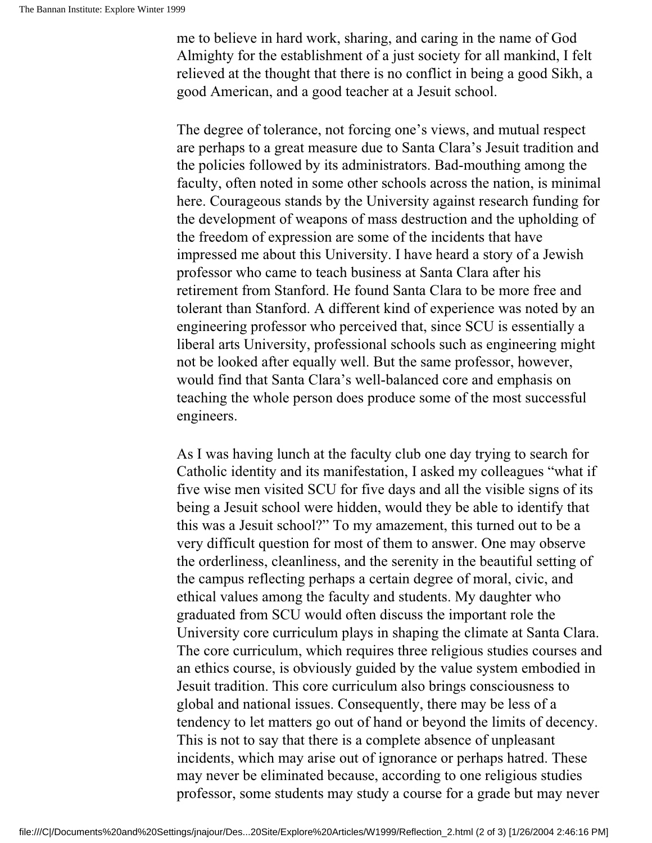me to believe in hard work, sharing, and caring in the name of God Almighty for the establishment of a just society for all mankind, I felt relieved at the thought that there is no conflict in being a good Sikh, a good American, and a good teacher at a Jesuit school.

The degree of tolerance, not forcing one's views, and mutual respect are perhaps to a great measure due to Santa Clara's Jesuit tradition and the policies followed by its administrators. Bad-mouthing among the faculty, often noted in some other schools across the nation, is minimal here. Courageous stands by the University against research funding for the development of weapons of mass destruction and the upholding of the freedom of expression are some of the incidents that have impressed me about this University. I have heard a story of a Jewish professor who came to teach business at Santa Clara after his retirement from Stanford. He found Santa Clara to be more free and tolerant than Stanford. A different kind of experience was noted by an engineering professor who perceived that, since SCU is essentially a liberal arts University, professional schools such as engineering might not be looked after equally well. But the same professor, however, would find that Santa Clara's well-balanced core and emphasis on teaching the whole person does produce some of the most successful engineers.

As I was having lunch at the faculty club one day trying to search for Catholic identity and its manifestation, I asked my colleagues "what if five wise men visited SCU for five days and all the visible signs of its being a Jesuit school were hidden, would they be able to identify that this was a Jesuit school?" To my amazement, this turned out to be a very difficult question for most of them to answer. One may observe the orderliness, cleanliness, and the serenity in the beautiful setting of the campus reflecting perhaps a certain degree of moral, civic, and ethical values among the faculty and students. My daughter who graduated from SCU would often discuss the important role the University core curriculum plays in shaping the climate at Santa Clara. The core curriculum, which requires three religious studies courses and an ethics course, is obviously guided by the value system embodied in Jesuit tradition. This core curriculum also brings consciousness to global and national issues. Consequently, there may be less of a tendency to let matters go out of hand or beyond the limits of decency. This is not to say that there is a complete absence of unpleasant incidents, which may arise out of ignorance or perhaps hatred. These may never be eliminated because, according to one religious studies professor, some students may study a course for a grade but may never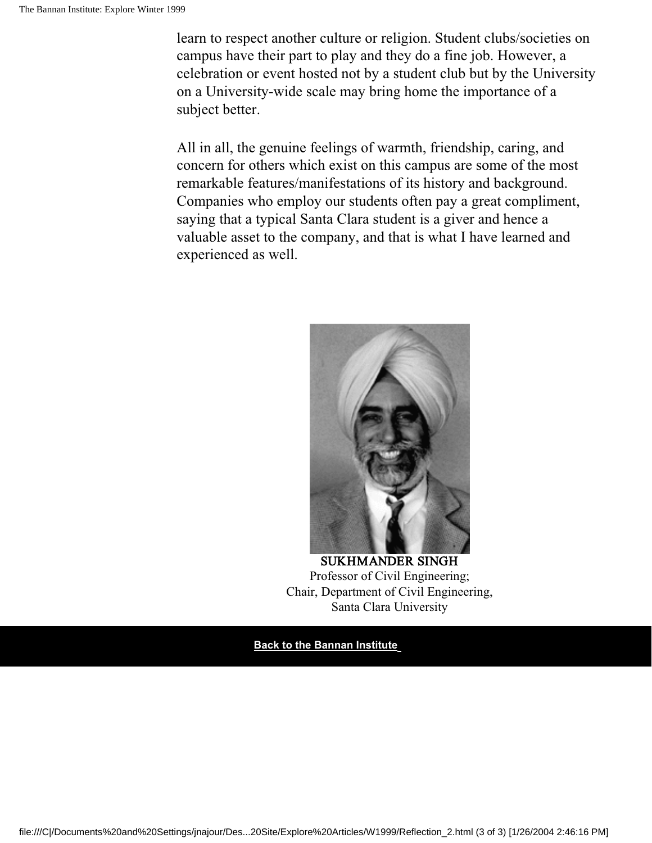learn to respect another culture or religion. Student clubs/societies on campus have their part to play and they do a fine job. However, a celebration or event hosted not by a student club but by the University on a University-wide scale may bring home the importance of a subject better.

All in all, the genuine feelings of warmth, friendship, caring, and concern for others which exist on this campus are some of the most remarkable features/manifestations of its history and background. Companies who employ our students often pay a great compliment, saying that a typical Santa Clara student is a giver and hence a valuable asset to the company, and that is what I have learned and experienced as well.



SUKHMANDER SINGH Professor of Civil Engineering; Chair, Department of Civil Engineering, Santa Clara University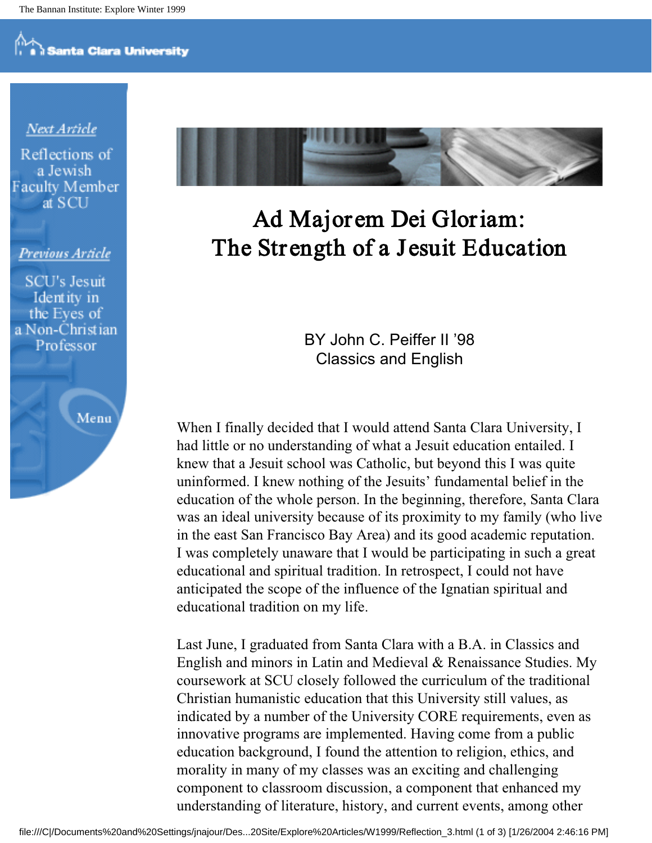#### Next Article

Reflections of a Jewish **Faculty Member** at SCU

#### Previous Article

**SCU's Jesuit** Identity in the Eves of a Non-Christian Professor

Menu



## Ad Major em Dei Gloriam: The Strength of a Jesuit Education

BY John C. Peiffer II '98 Classics and English

When I finally decided that I would attend Santa Clara University, I had little or no understanding of what a Jesuit education entailed. I knew that a Jesuit school was Catholic, but beyond this I was quite uninformed. I knew nothing of the Jesuits' fundamental belief in the education of the whole person. In the beginning, therefore, Santa Clara was an ideal university because of its proximity to my family (who live in the east San Francisco Bay Area) and its good academic reputation. I was completely unaware that I would be participating in such a great educational and spiritual tradition. In retrospect, I could not have anticipated the scope of the influence of the Ignatian spiritual and educational tradition on my life.

Last June, I graduated from Santa Clara with a B.A. in Classics and English and minors in Latin and Medieval & Renaissance Studies. My coursework at SCU closely followed the curriculum of the traditional Christian humanistic education that this University still values, as indicated by a number of the University CORE requirements, even as innovative programs are implemented. Having come from a public education background, I found the attention to religion, ethics, and morality in many of my classes was an exciting and challenging component to classroom discussion, a component that enhanced my understanding of literature, history, and current events, among other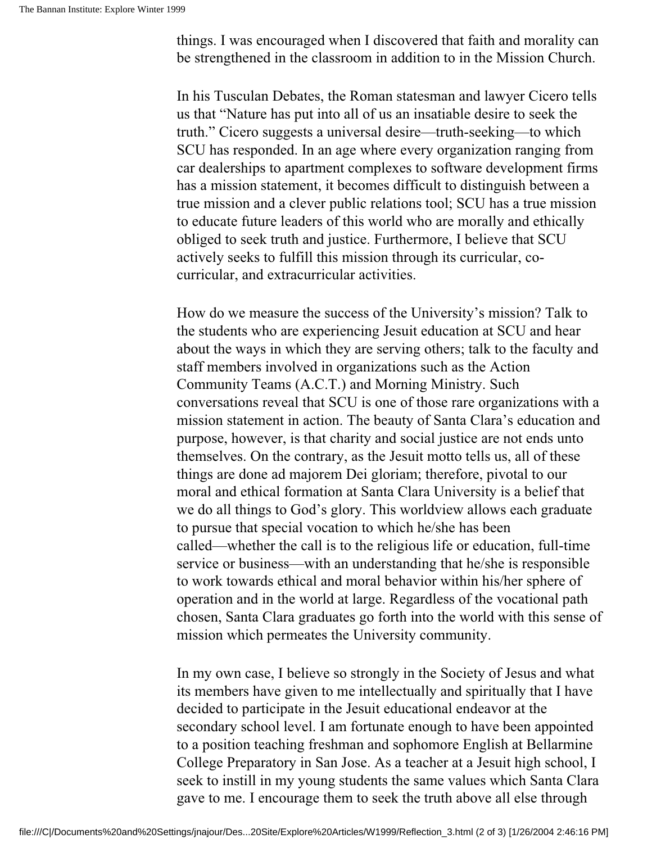things. I was encouraged when I discovered that faith and morality can be strengthened in the classroom in addition to in the Mission Church.

In his Tusculan Debates, the Roman statesman and lawyer Cicero tells us that "Nature has put into all of us an insatiable desire to seek the truth." Cicero suggests a universal desire—truth-seeking—to which SCU has responded. In an age where every organization ranging from car dealerships to apartment complexes to software development firms has a mission statement, it becomes difficult to distinguish between a true mission and a clever public relations tool; SCU has a true mission to educate future leaders of this world who are morally and ethically obliged to seek truth and justice. Furthermore, I believe that SCU actively seeks to fulfill this mission through its curricular, cocurricular, and extracurricular activities.

How do we measure the success of the University's mission? Talk to the students who are experiencing Jesuit education at SCU and hear about the ways in which they are serving others; talk to the faculty and staff members involved in organizations such as the Action Community Teams (A.C.T.) and Morning Ministry. Such conversations reveal that SCU is one of those rare organizations with a mission statement in action. The beauty of Santa Clara's education and purpose, however, is that charity and social justice are not ends unto themselves. On the contrary, as the Jesuit motto tells us, all of these things are done ad majorem Dei gloriam; therefore, pivotal to our moral and ethical formation at Santa Clara University is a belief that we do all things to God's glory. This worldview allows each graduate to pursue that special vocation to which he/she has been called—whether the call is to the religious life or education, full-time service or business—with an understanding that he/she is responsible to work towards ethical and moral behavior within his/her sphere of operation and in the world at large. Regardless of the vocational path chosen, Santa Clara graduates go forth into the world with this sense of mission which permeates the University community.

In my own case, I believe so strongly in the Society of Jesus and what its members have given to me intellectually and spiritually that I have decided to participate in the Jesuit educational endeavor at the secondary school level. I am fortunate enough to have been appointed to a position teaching freshman and sophomore English at Bellarmine College Preparatory in San Jose. As a teacher at a Jesuit high school, I seek to instill in my young students the same values which Santa Clara gave to me. I encourage them to seek the truth above all else through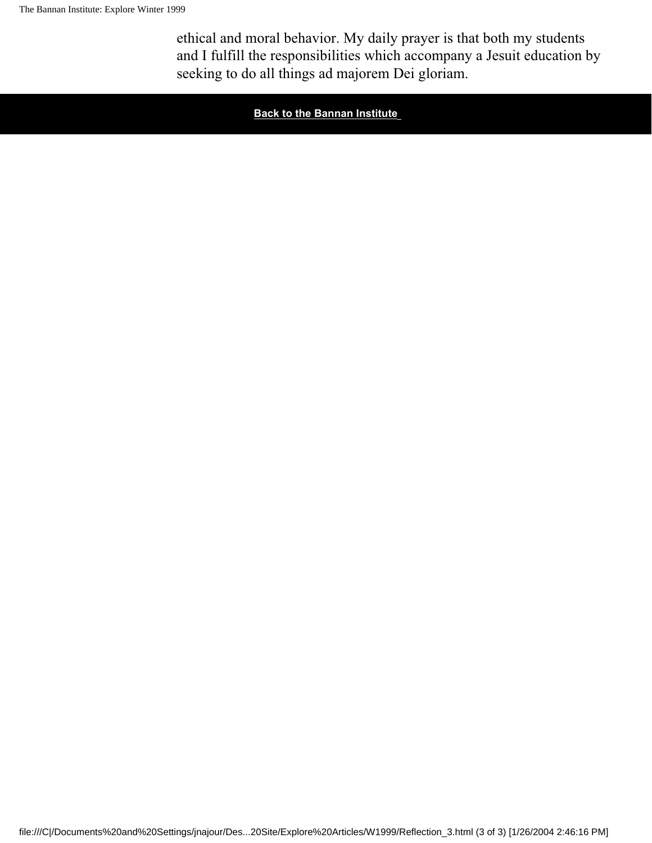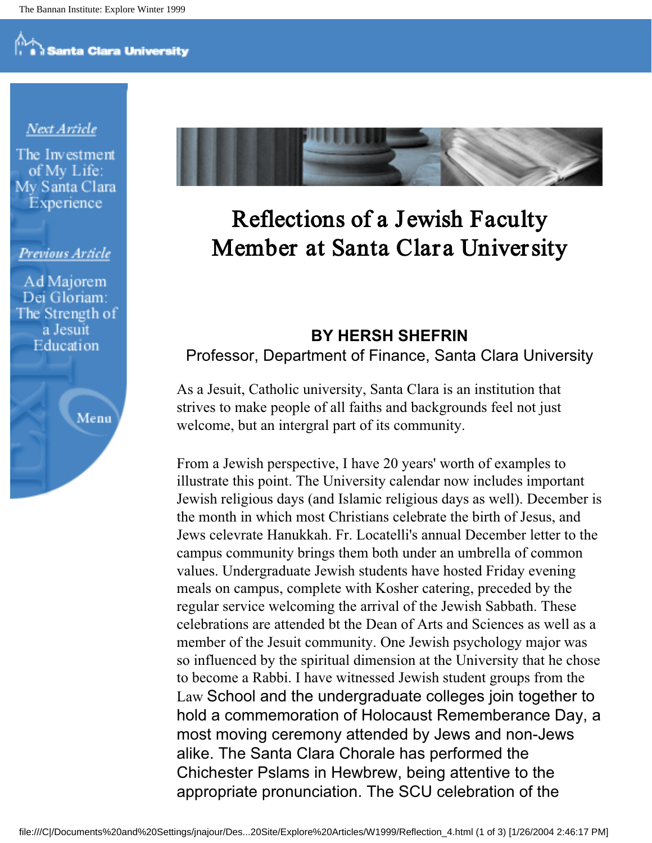#### Next Article

The Investment of My Life: My Santa Clara Experience

#### Previous Article

Ad Majorem Dei Gloriam: The Strength of a Jesuit Education

Menu



## Reflections of a Jewish Faculty Member at Santa Clara University

#### **BY HERSH SHEFRIN** Professor, Department of Finance, Santa Clara University

As a Jesuit, Catholic university, Santa Clara is an institution that strives to make people of all faiths and backgrounds feel not just welcome, but an intergral part of its community.

From a Jewish perspective, I have 20 years' worth of examples to illustrate this point. The University calendar now includes important Jewish religious days (and Islamic religious days as well). December is the month in which most Christians celebrate the birth of Jesus, and Jews celevrate Hanukkah. Fr. Locatelli's annual December letter to the campus community brings them both under an umbrella of common values. Undergraduate Jewish students have hosted Friday evening meals on campus, complete with Kosher catering, preceded by the regular service welcoming the arrival of the Jewish Sabbath. These celebrations are attended bt the Dean of Arts and Sciences as well as a member of the Jesuit community. One Jewish psychology major was so influenced by the spiritual dimension at the University that he chose to become a Rabbi. I have witnessed Jewish student groups from the Law School and the undergraduate colleges join together to hold a commemoration of Holocaust Rememberance Day, a most moving ceremony attended by Jews and non-Jews alike. The Santa Clara Chorale has performed the Chichester Pslams in Hewbrew, being attentive to the appropriate pronunciation. The SCU celebration of the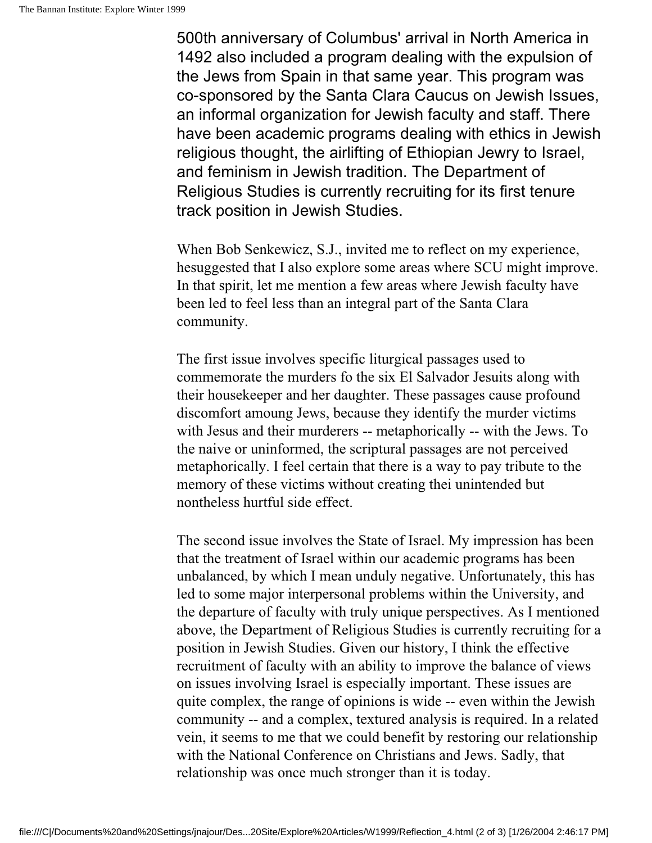500th anniversary of Columbus' arrival in North America in 1492 also included a program dealing with the expulsion of the Jews from Spain in that same year. This program was co-sponsored by the Santa Clara Caucus on Jewish Issues, an informal organization for Jewish faculty and staff. There have been academic programs dealing with ethics in Jewish religious thought, the airlifting of Ethiopian Jewry to Israel, and feminism in Jewish tradition. The Department of Religious Studies is currently recruiting for its first tenure track position in Jewish Studies.

When Bob Senkewicz, S.J., invited me to reflect on my experience, hesuggested that I also explore some areas where SCU might improve. In that spirit, let me mention a few areas where Jewish faculty have been led to feel less than an integral part of the Santa Clara community.

The first issue involves specific liturgical passages used to commemorate the murders fo the six El Salvador Jesuits along with their housekeeper and her daughter. These passages cause profound discomfort amoung Jews, because they identify the murder victims with Jesus and their murderers -- metaphorically -- with the Jews. To the naive or uninformed, the scriptural passages are not perceived metaphorically. I feel certain that there is a way to pay tribute to the memory of these victims without creating thei unintended but nontheless hurtful side effect.

The second issue involves the State of Israel. My impression has been that the treatment of Israel within our academic programs has been unbalanced, by which I mean unduly negative. Unfortunately, this has led to some major interpersonal problems within the University, and the departure of faculty with truly unique perspectives. As I mentioned above, the Department of Religious Studies is currently recruiting for a position in Jewish Studies. Given our history, I think the effective recruitment of faculty with an ability to improve the balance of views on issues involving Israel is especially important. These issues are quite complex, the range of opinions is wide -- even within the Jewish community -- and a complex, textured analysis is required. In a related vein, it seems to me that we could benefit by restoring our relationship with the National Conference on Christians and Jews. Sadly, that relationship was once much stronger than it is today.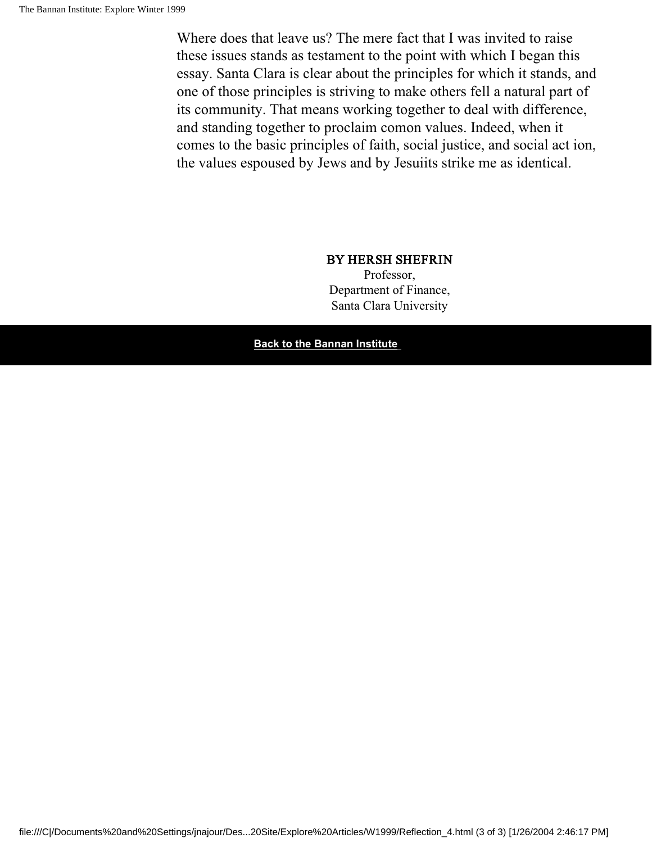Where does that leave us? The mere fact that I was invited to raise these issues stands as testament to the point with which I began this essay. Santa Clara is clear about the principles for which it stands, and one of those principles is striving to make others fell a natural part of its community. That means working together to deal with difference, and standing together to proclaim comon values. Indeed, when it comes to the basic principles of faith, social justice, and social act ion, the values espoused by Jews and by Jesuiits strike me as identical.

#### BY HERSH SHEFRIN

Professor, Department of Finance, Santa Clara University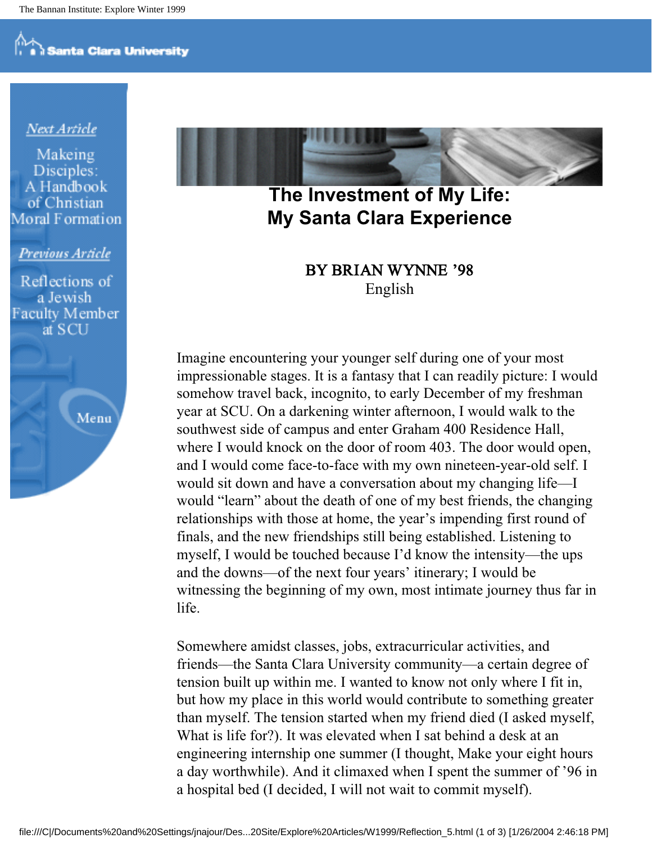#### <u>Next Article</u>

Makeing Disciples: A Handbook of Christian **Moral Formation** 

#### Previous Article

Reflections of a Jewish **Faculty Member** at SCU

Menu



### **The Investment of My Life: My Santa Clara Experience**

BY BRIAN WYNNE '98 English

Imagine encountering your younger self during one of your most impressionable stages. It is a fantasy that I can readily picture: I would somehow travel back, incognito, to early December of my freshman year at SCU. On a darkening winter afternoon, I would walk to the southwest side of campus and enter Graham 400 Residence Hall, where I would knock on the door of room 403. The door would open, and I would come face-to-face with my own nineteen-year-old self. I would sit down and have a conversation about my changing life—I would "learn" about the death of one of my best friends, the changing relationships with those at home, the year's impending first round of finals, and the new friendships still being established. Listening to myself, I would be touched because I'd know the intensity—the ups and the downs—of the next four years' itinerary; I would be witnessing the beginning of my own, most intimate journey thus far in life.

Somewhere amidst classes, jobs, extracurricular activities, and friends—the Santa Clara University community—a certain degree of tension built up within me. I wanted to know not only where I fit in, but how my place in this world would contribute to something greater than myself. The tension started when my friend died (I asked myself, What is life for?). It was elevated when I sat behind a desk at an engineering internship one summer (I thought, Make your eight hours a day worthwhile). And it climaxed when I spent the summer of '96 in a hospital bed (I decided, I will not wait to commit myself).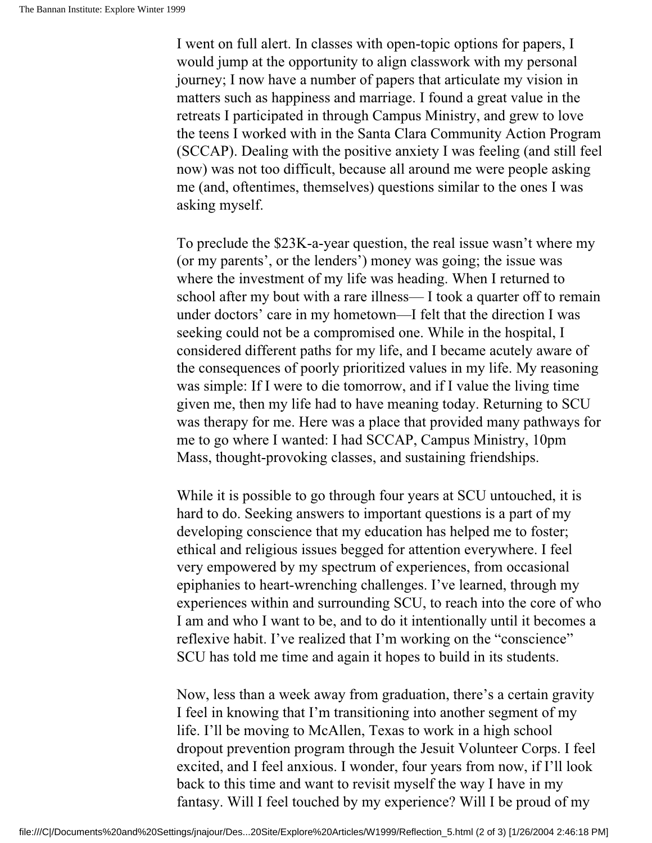I went on full alert. In classes with open-topic options for papers, I would jump at the opportunity to align classwork with my personal journey; I now have a number of papers that articulate my vision in matters such as happiness and marriage. I found a great value in the retreats I participated in through Campus Ministry, and grew to love the teens I worked with in the Santa Clara Community Action Program (SCCAP). Dealing with the positive anxiety I was feeling (and still feel now) was not too difficult, because all around me were people asking me (and, oftentimes, themselves) questions similar to the ones I was asking myself.

To preclude the \$23K-a-year question, the real issue wasn't where my (or my parents', or the lenders') money was going; the issue was where the investment of my life was heading. When I returned to school after my bout with a rare illness— I took a quarter off to remain under doctors' care in my hometown—I felt that the direction I was seeking could not be a compromised one. While in the hospital, I considered different paths for my life, and I became acutely aware of the consequences of poorly prioritized values in my life. My reasoning was simple: If I were to die tomorrow, and if I value the living time given me, then my life had to have meaning today. Returning to SCU was therapy for me. Here was a place that provided many pathways for me to go where I wanted: I had SCCAP, Campus Ministry, 10pm Mass, thought-provoking classes, and sustaining friendships.

While it is possible to go through four years at SCU untouched, it is hard to do. Seeking answers to important questions is a part of my developing conscience that my education has helped me to foster; ethical and religious issues begged for attention everywhere. I feel very empowered by my spectrum of experiences, from occasional epiphanies to heart-wrenching challenges. I've learned, through my experiences within and surrounding SCU, to reach into the core of who I am and who I want to be, and to do it intentionally until it becomes a reflexive habit. I've realized that I'm working on the "conscience" SCU has told me time and again it hopes to build in its students.

Now, less than a week away from graduation, there's a certain gravity I feel in knowing that I'm transitioning into another segment of my life. I'll be moving to McAllen, Texas to work in a high school dropout prevention program through the Jesuit Volunteer Corps. I feel excited, and I feel anxious. I wonder, four years from now, if I'll look back to this time and want to revisit myself the way I have in my fantasy. Will I feel touched by my experience? Will I be proud of my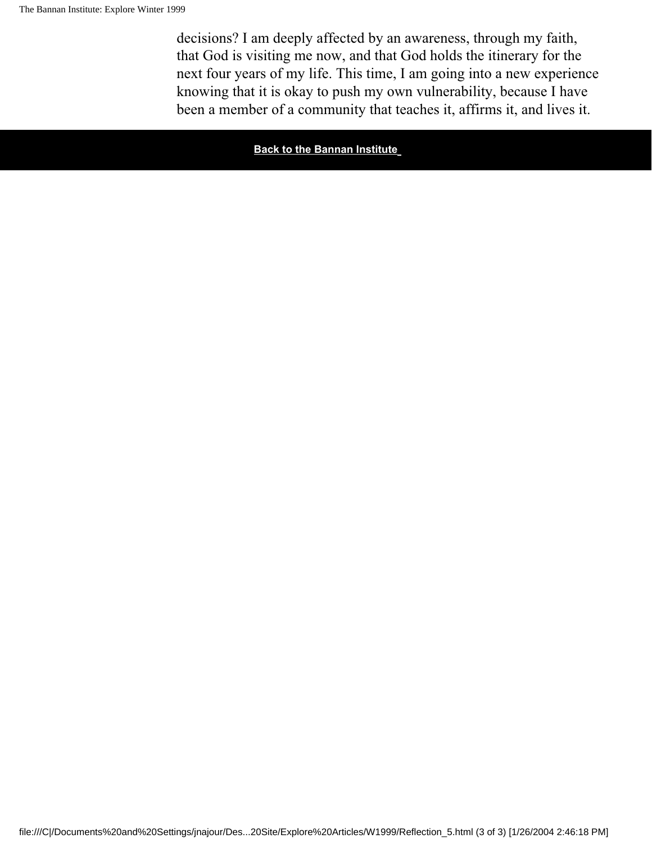decisions? I am deeply affected by an awareness, through my faith, that God is visiting me now, and that God holds the itinerary for the next four years of my life. This time, I am going into a new experience knowing that it is okay to push my own vulnerability, because I have been a member of a community that teaches it, affirms it, and lives it.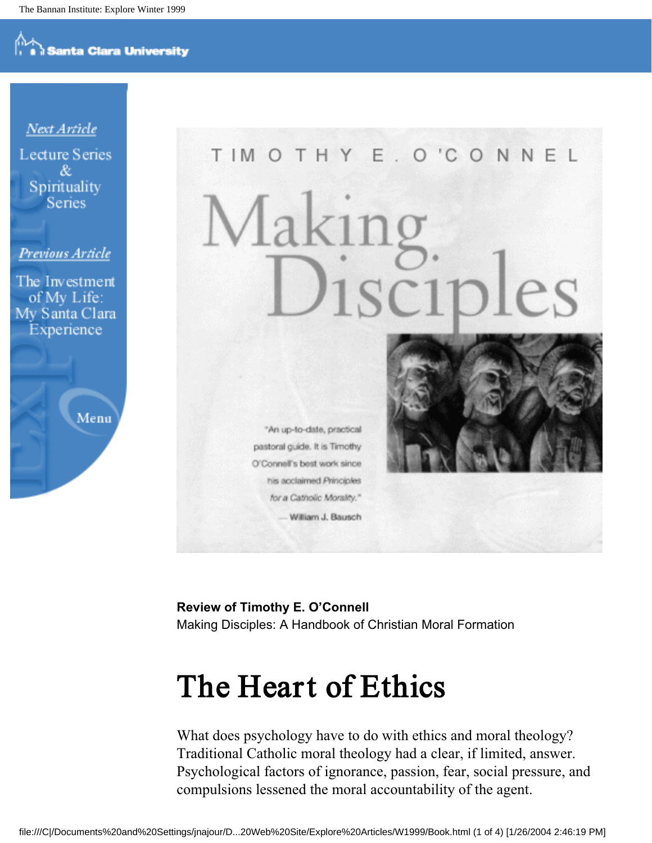**Santa Clara University** 

# TIMOTHY E. O'CONNEL 1sciples

"An up-to-date, practical pastoral guide. It is Timothy O'Connell's best work since his acclaimed Principles for a Catholic Morality." William J. Bausch



**Review of Timothy E. O'Connell** Making Disciples: A Handbook of Christian Moral Formation

## The Heart of Ethics

What does psychology have to do with ethics and moral theology? Traditional Catholic moral theology had a clear, if limited, answer. Psychological factors of ignorance, passion, fear, social pressure, and compulsions lessened the moral accountability of the agent.

Next Article **Lecture Series** & Spirituality Series

#### Previous Article

The Investment of My Life: My Santa Clara Experience

Menu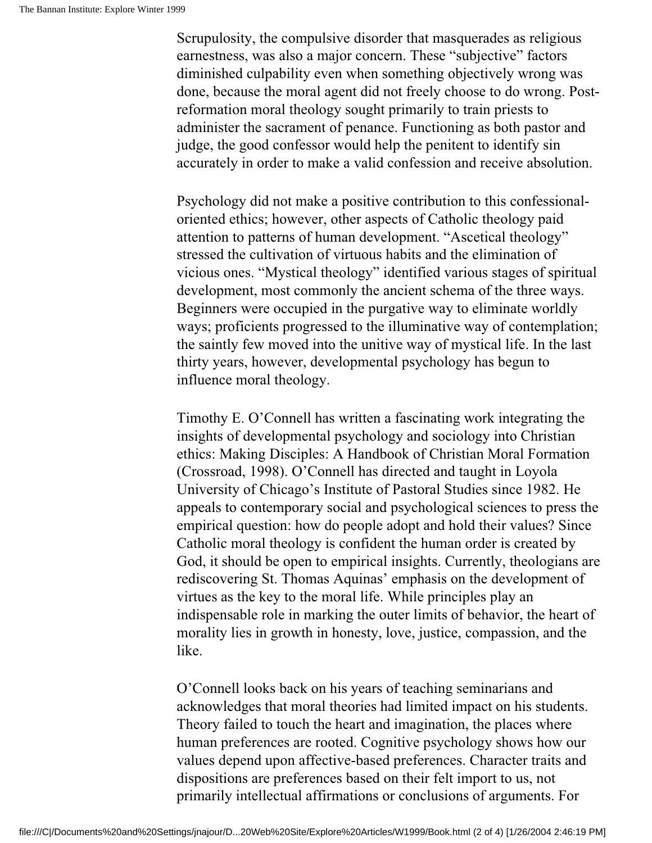Scrupulosity, the compulsive disorder that masquerades as religious earnestness, was also a major concern. These "subjective" factors diminished culpability even when something objectively wrong was done, because the moral agent did not freely choose to do wrong. Postreformation moral theology sought primarily to train priests to administer the sacrament of penance. Functioning as both pastor and judge, the good confessor would help the penitent to identify sin accurately in order to make a valid confession and receive absolution.

Psychology did not make a positive contribution to this confessionaloriented ethics; however, other aspects of Catholic theology paid attention to patterns of human development. "Ascetical theology" stressed the cultivation of virtuous habits and the elimination of vicious ones. "Mystical theology" identified various stages of spiritual development, most commonly the ancient schema of the three ways. Beginners were occupied in the purgative way to eliminate worldly ways; proficients progressed to the illuminative way of contemplation; the saintly few moved into the unitive way of mystical life. In the last thirty years, however, developmental psychology has begun to influence moral theology.

Timothy E. O'Connell has written a fascinating work integrating the insights of developmental psychology and sociology into Christian ethics: Making Disciples: A Handbook of Christian Moral Formation (Crossroad, 1998). O'Connell has directed and taught in Loyola University of Chicago's Institute of Pastoral Studies since 1982. He appeals to contemporary social and psychological sciences to press the empirical question: how do people adopt and hold their values? Since Catholic moral theology is confident the human order is created by God, it should be open to empirical insights. Currently, theologians are rediscovering St. Thomas Aquinas' emphasis on the development of virtues as the key to the moral life. While principles play an indispensable role in marking the outer limits of behavior, the heart of morality lies in growth in honesty, love, justice, compassion, and the like.

O'Connell looks back on his years of teaching seminarians and acknowledges that moral theories had limited impact on his students. Theory failed to touch the heart and imagination, the places where human preferences are rooted. Cognitive psychology shows how our values depend upon affective-based preferences. Character traits and dispositions are preferences based on their felt import to us, not primarily intellectual affirmations or conclusions of arguments. For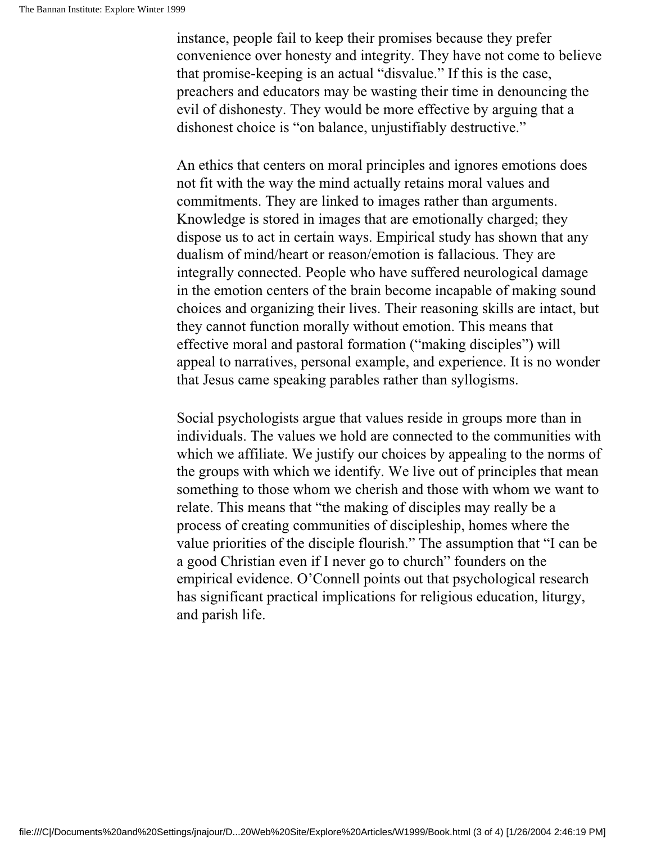instance, people fail to keep their promises because they prefer convenience over honesty and integrity. They have not come to believe that promise-keeping is an actual "disvalue." If this is the case, preachers and educators may be wasting their time in denouncing the evil of dishonesty. They would be more effective by arguing that a dishonest choice is "on balance, unjustifiably destructive."

An ethics that centers on moral principles and ignores emotions does not fit with the way the mind actually retains moral values and commitments. They are linked to images rather than arguments. Knowledge is stored in images that are emotionally charged; they dispose us to act in certain ways. Empirical study has shown that any dualism of mind/heart or reason/emotion is fallacious. They are integrally connected. People who have suffered neurological damage in the emotion centers of the brain become incapable of making sound choices and organizing their lives. Their reasoning skills are intact, but they cannot function morally without emotion. This means that effective moral and pastoral formation ("making disciples") will appeal to narratives, personal example, and experience. It is no wonder that Jesus came speaking parables rather than syllogisms.

Social psychologists argue that values reside in groups more than in individuals. The values we hold are connected to the communities with which we affiliate. We justify our choices by appealing to the norms of the groups with which we identify. We live out of principles that mean something to those whom we cherish and those with whom we want to relate. This means that "the making of disciples may really be a process of creating communities of discipleship, homes where the value priorities of the disciple flourish." The assumption that "I can be a good Christian even if I never go to church" founders on the empirical evidence. O'Connell points out that psychological research has significant practical implications for religious education, liturgy, and parish life.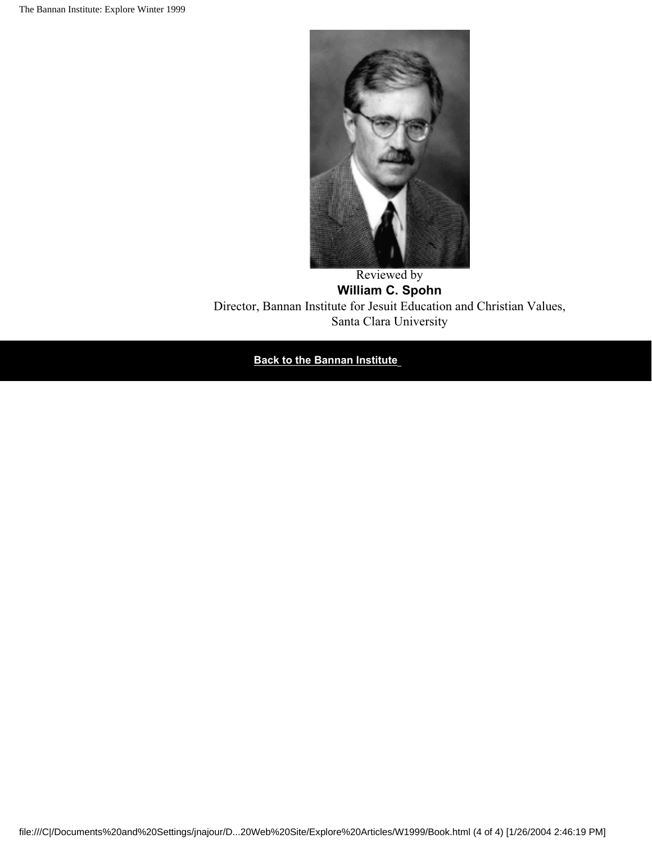

#### Reviewed by **William C. Spohn**

Director, Bannan Institute for Jesuit Education and Christian Values, Santa Clara University